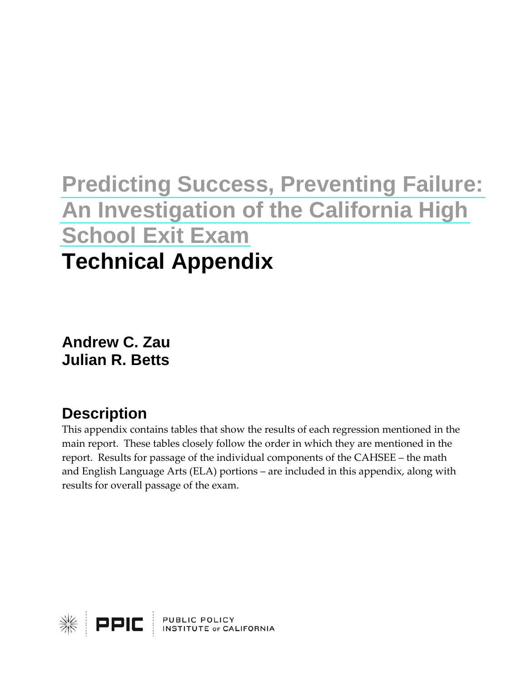# **[Predicting Success, Preventing Failure:](http://www.ppic.org/main/publication.asp?i=726)  [An Investigation of the California High](http://www.ppic.org/main/publication.asp?i=726)  [School Exit Exam](http://www.ppic.org/main/publication.asp?i=726)  Technical Appendix**

**Andrew C. Zau Julian R. Betts** 

# **Description**

This appendix contains tables that show the results of each regression mentioned in the main report. These tables closely follow the order in which they are mentioned in the report. Results for passage of the individual components of the CAHSEE – the math and English Language Arts (ELA) portions – are included in this appendix, along with results for overall passage of the exam.

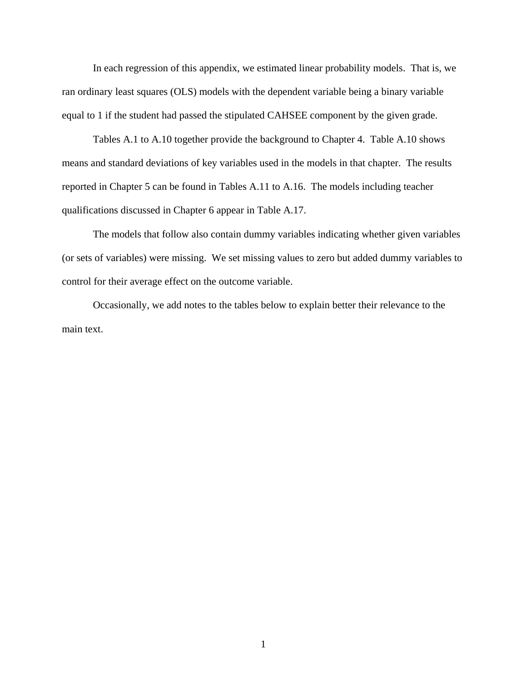In each regression of this appendix, we estimated linear probability models. That is, we ran ordinary least squares (OLS) models with the dependent variable being a binary variable equal to 1 if the student had passed the stipulated CAHSEE component by the given grade.

Tables A.1 to A.10 together provide the background to Chapter 4. Table A.10 shows means and standard deviations of key variables used in the models in that chapter. The results reported in Chapter 5 can be found in Tables A.11 to A.16. The models including teacher qualifications discussed in Chapter 6 appear in Table A.17.

The models that follow also contain dummy variables indicating whether given variables (or sets of variables) were missing. We set missing values to zero but added dummy variables to control for their average effect on the outcome variable.

Occasionally, we add notes to the tables below to explain better their relevance to the main text.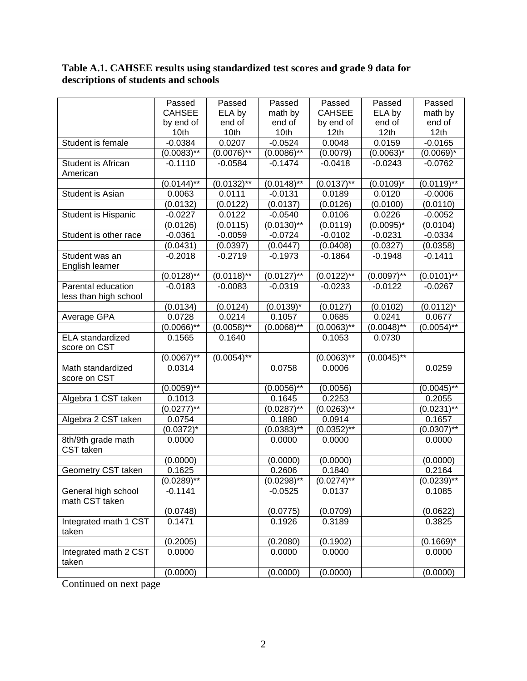#### **Table A.1. CAHSEE results using standardized test scores and grade 9 data for descriptions of students and schools**

|                                 | Passed          | Passed        | Passed        | Passed        | Passed        | Passed           |
|---------------------------------|-----------------|---------------|---------------|---------------|---------------|------------------|
|                                 | <b>CAHSEE</b>   | ELA by        | math by       | <b>CAHSEE</b> | ELA by        | math by          |
|                                 | by end of       | end of        | end of        | by end of     | end of        | end of           |
|                                 | 10th            | 10th          | 10th          | 12th          | 12th          | 12 <sub>th</sub> |
| Student is female               | $-0.0384$       | 0.0207        | $-0.0524$     | 0.0048        | 0.0159        | $-0.0165$        |
|                                 | $(0.0083)$ **   | $(0.0076)$ ** | $(0.0086)$ ** | (0.0079)      | $(0.0063)^*$  | $(0.0069)^*$     |
| Student is African              | $-0.1110$       | $-0.0584$     | $-0.1474$     | $-0.0418$     | $-0.0243$     | $-0.0762$        |
| American                        |                 |               |               |               |               |                  |
|                                 | $(0.0144)$ **   | $(0.0132)$ ** | $(0.0148)$ ** | $(0.0137)$ ** | $(0.0109)^*$  | $(0.0119)$ **    |
| Student is Asian                | 0.0063          | 0.0111        | $-0.0131$     | 0.0189        | 0.0120        | $-0.0006$        |
|                                 | (0.0132)        | (0.0122)      | (0.0137)      | (0.0126)      | (0.0100)      | (0.0110)         |
| Student is Hispanic             | $-0.0227$       | 0.0122        | $-0.0540$     | 0.0106        | 0.0226        | $-0.0052$        |
|                                 | (0.0126)        | (0.0115)      | $(0.0130)$ ** | (0.0119)      | $(0.0095)^*$  | (0.0104)         |
| Student is other race           | $-0.0361$       | $-0.0059$     | $-0.0724$     | $-0.0102$     | $-0.0231$     | $-0.0334$        |
|                                 | (0.0431)        | (0.0397)      | (0.0447)      | (0.0408)      | (0.0327)      | (0.0358)         |
| Student was an                  | $-0.2018$       | $-0.2719$     | $-0.1973$     | $-0.1864$     | $-0.1948$     | $-0.1411$        |
| English learner                 |                 |               |               |               |               |                  |
|                                 | $(0.0128)$ **   | $(0.0118)$ ** | $(0.0127)$ ** | $(0.0122)$ ** | $(0.0097)$ ** | $(0.0101)$ **    |
| Parental education              | $-0.0183$       | $-0.0083$     | $-0.0319$     | $-0.0233$     | $-0.0122$     | $-0.0267$        |
| less than high school           |                 |               |               |               |               |                  |
|                                 | (0.0134)        | (0.0124)      | $(0.0139)^*$  | (0.0127)      | (0.0102)      | $(0.0112)^*$     |
| Average GPA                     | 0.0728          | 0.0214        | 0.1057        | 0.0685        | 0.0241        | 0.0677           |
|                                 | $(0.0066)$ **   | $(0.0058)$ ** | $(0.0068)$ ** | $(0.0063)$ ** | $(0.0048)$ ** | $(0.0054)$ **    |
| ELA standardized                | 0.1565          | 0.1640        |               | 0.1053        | 0.0730        |                  |
| score on CST                    |                 |               |               |               |               |                  |
|                                 | $(0.0067)$ **   | $(0.0054)$ ** |               | $(0.0063)$ ** | $(0.0045)$ ** |                  |
| Math standardized               | 0.0314          |               | 0.0758        | 0.0006        |               | 0.0259           |
| score on CST                    |                 |               |               |               |               |                  |
|                                 | $(0.0059)$ **   |               | $(0.0056)$ ** | (0.0056)      |               | $(0.0045)$ **    |
| Algebra 1 CST taken             | 0.1013          |               | 0.1645        | 0.2253        |               | 0.2055           |
|                                 | $(0.0277)^{**}$ |               | $(0.0287)$ ** | $(0.0263)$ ** |               | $(0.0231)$ **    |
| Algebra 2 CST taken             | 0.0754          |               | 0.1880        | 0.0914        |               | 0.1657           |
|                                 | $(0.0372)^*$    |               | $(0.0383)$ ** | $(0.0352)$ ** |               | $(0.0307)$ **    |
| 8th/9th grade math<br>CST taken | 0.0000          |               | 0.0000        | 0.0000        |               | 0.0000           |
|                                 | (0.0000)        |               | (0.0000)      | (0.0000)      |               | (0.0000)         |
| Geometry CST taken              | 0.1625          |               | 0.2606        | 0.1840        |               | 0.2164           |
|                                 | $(0.0289)$ **   |               | $(0.0298)$ ** | $(0.0274)$ ** |               | $(0.0239)$ **    |
| General high school             | $-0.1141$       |               | $-0.0525$     | 0.0137        |               | 0.1085           |
| math CST taken                  |                 |               |               |               |               |                  |
|                                 | (0.0748)        |               | (0.0775)      | (0.0709)      |               | (0.0622)         |
| Integrated math 1 CST           | 0.1471          |               | 0.1926        | 0.3189        |               | 0.3825           |
| taken                           |                 |               |               |               |               |                  |
|                                 | (0.2005)        |               | (0.2080)      | (0.1902)      |               | $(0.1669)^*$     |
| Integrated math 2 CST<br>taken  | 0.0000          |               | 0.0000        | 0.0000        |               | 0.0000           |
|                                 | (0.0000)        |               | (0.0000)      | (0.0000)      |               | (0.0000)         |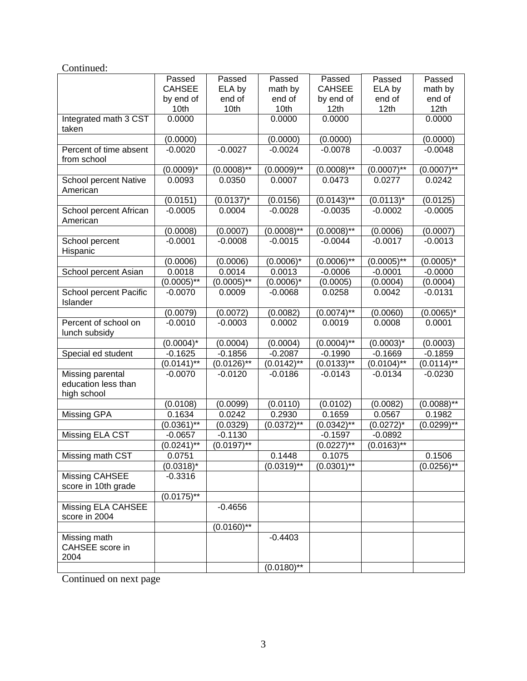| Continued:                                                    |               |                  |               |               |                |                  |
|---------------------------------------------------------------|---------------|------------------|---------------|---------------|----------------|------------------|
|                                                               | Passed        | Passed           | Passed        | Passed        | Passed         | Passed           |
|                                                               | <b>CAHSEE</b> | ELA by           | math by       | <b>CAHSEE</b> | ELA by         | math by          |
|                                                               | by end of     | end of           | end of        | by end of     | end of         | end of           |
|                                                               | 10th          | 10th             | 10th          | 12th          | 12th           | 12th             |
| Integrated math 3 CST<br>taken                                | 0.0000        |                  | 0.0000        | 0.0000        |                | 0.0000           |
|                                                               | (0.0000)      |                  | (0.0000)      | (0.0000)      |                | (0.0000)         |
| Percent of time absent<br>from school                         | $-0.0020$     | $-0.0027$        | $-0.0024$     | $-0.0078$     | $-0.0037$      | $-0.0048$        |
|                                                               | $(0.0009)^*$  | $(0.0008)$ **    | $(0.0009)*$   | $(0.0008)$ ** | $(0.0007)*$    | $(0.0007)$ **    |
| School percent Native<br>American                             | 0.0093        | 0.0350           | 0.0007        | 0.0473        | 0.0277         | 0.0242           |
|                                                               | (0.0151)      | $(0.0137)^*$     | (0.0156)      | $(0.0143)$ ** | $(0.0113)^*$   | (0.0125)         |
| School percent African<br>American                            | $-0.0005$     | 0.0004           | $-0.0028$     | $-0.0035$     | $-0.0002$      | $-0.0005$        |
|                                                               | (0.0008)      | (0.0007)         | $(0.0008)$ ** | $(0.0008)$ ** | (0.0006)       | (0.0007)         |
| School percent<br>Hispanic                                    | $-0.0001$     | $-0.0008$        | $-0.0015$     | $-0.0044$     | $-0.0017$      | $-0.0013$        |
|                                                               | (0.0006)      | (0.0006)         | $(0.0006)^*$  | $(0.0006)$ ** | $(0.0005)*$    | $(0.0005)^*$     |
| School percent Asian                                          | 0.0018        | 0.0014           | 0.0013        | $-0.0006$     | $-0.0001$      | $-0.0000$        |
|                                                               | $(0.0005)$ ** | $(0.0005)$ **    | $(0.0006)^*$  | (0.0005)      | (0.0004)       | (0.0004)         |
| School percent Pacific<br>Islander                            | $-0.0070$     | 0.0009           | $-0.0068$     | 0.0258        | 0.0042         | $-0.0131$        |
|                                                               | (0.0079)      | (0.0072)         | (0.0082)      | $(0.0074)$ ** | (0.0060)       | $(0.0065)^*$     |
| Percent of school on<br>lunch subsidy                         | $-0.0010$     | $-0.0003$        | 0.0002        | 0.0019        | 0.0008         | 0.0001           |
|                                                               | $(0.0004)^*$  | (0.0004)         | (0.0004)      | $(0.0004)$ ** | $(0.0003)^*$   | (0.0003)         |
| Special ed student                                            | $-0.1625$     | $-0.1856$        | $-0.2087$     | $-0.1990$     | $-0.1669$      | $-0.1859$        |
|                                                               | $(0.0141)$ ** | $(0.0126)$ **    | $(0.0142)$ ** | $(0.0133)$ ** | $(0.0104)$ **  | $(0.0114)$ **    |
| <b>Missing parental</b><br>education less than<br>high school | $-0.0070$     | $-0.0120$        | $-0.0186$     | $-0.0143$     | $-0.0134$      | $-0.0230$        |
|                                                               | (0.0108)      | (0.0099)         | (0.0110)      | (0.0102)      | (0.0082)       | $(0.0088)$ **    |
| Missing GPA                                                   | 0.1634        | 0.0242           | 0.2930        | 0.1659        | 0.0567         | 0.1982           |
|                                                               | $(0.0361)$ ** | (0.0329)         | $(0.0372)$ ** | $(0.0342)$ ** | $(0.0272)^{*}$ | $(0.0299)^{1/8}$ |
| Missing ELA CST                                               | $-0.0657$     | $-0.1130$        |               | $-0.1597$     | $-0.0892$      |                  |
|                                                               | $(0.0241)$ ** | $(0.0197)$ **    |               | $(0.0227)$ ** | $(0.0163)$ **  |                  |
| Missing math CST                                              | 0.0751        |                  | 0.1448        | 0.1075        |                | 0.1506           |
|                                                               | $(0.0318)^*$  |                  | $(0.0319)$ ** | $(0.0301)$ ** |                | $(0.0256)$ **    |
| Missing CAHSEE                                                | $-0.3316$     |                  |               |               |                |                  |
| score in 10th grade                                           |               |                  |               |               |                |                  |
|                                                               | $(0.0175)$ ** |                  |               |               |                |                  |
| Missing ELA CAHSEE<br>score in 2004                           |               | $-0.4656$        |               |               |                |                  |
|                                                               |               | $(0.0160)^{1/8}$ |               |               |                |                  |
| Missing math<br>CAHSEE score in<br>2004                       |               |                  | $-0.4403$     |               |                |                  |
|                                                               |               |                  | $(0.0180)$ ** |               |                |                  |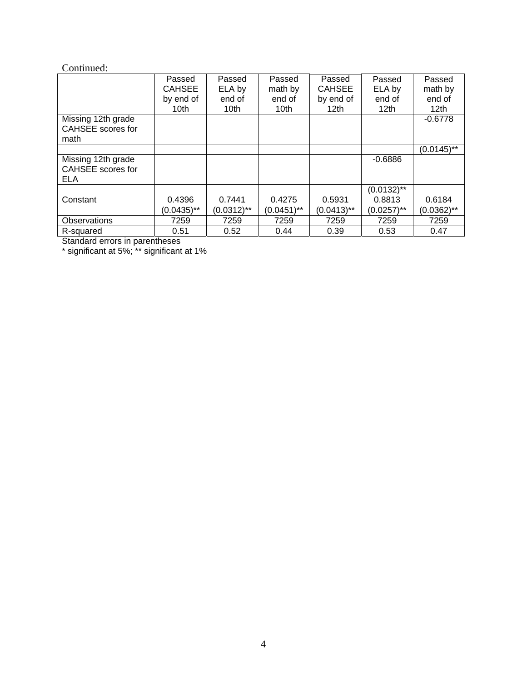#### Continued:

|                                                       | Passed           | Passed           | Passed        | Passed           | Passed           | Passed           |
|-------------------------------------------------------|------------------|------------------|---------------|------------------|------------------|------------------|
|                                                       | <b>CAHSEE</b>    | ELA by           | math by       | <b>CAHSEE</b>    | ELA by           | math by          |
|                                                       | by end of        | end of           | end of        | by end of        | end of           | end of           |
|                                                       | 10 <sub>th</sub> | 10 <sub>th</sub> | 10th          | 12 <sub>th</sub> | 12 <sub>th</sub> | 12 <sub>th</sub> |
| Missing 12th grade<br>CAHSEE scores for               |                  |                  |               |                  |                  | $-0.6778$        |
| math                                                  |                  |                  |               |                  |                  |                  |
|                                                       |                  |                  |               |                  |                  | $(0.0145)$ **    |
| Missing 12th grade<br>CAHSEE scores for<br><b>ELA</b> |                  |                  |               |                  | $-0.6886$        |                  |
|                                                       |                  |                  |               |                  | $(0.0132)$ **    |                  |
| Constant                                              | 0.4396           | 0.7441           | 0.4275        | 0.5931           | 0.8813           | 0.6184           |
|                                                       | $(0.0435)$ **    | $(0.0312)$ **    | $(0.0451)$ ** | $(0.0413)$ **    | $(0.0257)$ **    | $(0.0362)$ **    |
| Observations                                          | 7259             | 7259             | 7259          | 7259             | 7259             | 7259             |
| R-squared                                             | 0.51             | 0.52             | 0.44          | 0.39             | 0.53             | 0.47             |

Standard errors in parentheses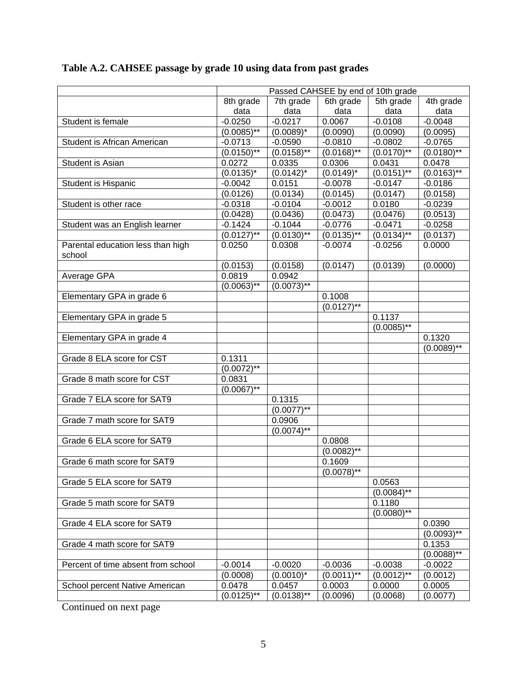|                                             | Passed CAHSEE by end of 10th grade |               |                |               |                 |  |  |
|---------------------------------------------|------------------------------------|---------------|----------------|---------------|-----------------|--|--|
|                                             | 8th grade                          | 7th grade     | 6th grade      | 5th grade     | 4th grade       |  |  |
|                                             | data                               | data          | data           | data          | data            |  |  |
| Student is female                           | $-0.0250$                          | $-0.0217$     | 0.0067         | $-0.0108$     | $-0.0048$       |  |  |
|                                             | $(0.0085)$ **                      | $(0.0089)^*$  | (0.0090)       | (0.0090)      | (0.0095)        |  |  |
| Student is African American                 | $-0.0713$                          | $-0.0590$     | $-0.0810$      | $-0.0802$     | $-0.0765$       |  |  |
|                                             | $(0.0150)$ **                      | $(0.0158)$ ** | $(0.0168)$ **  | $(0.0170)$ ** | $(0.0180)^{**}$ |  |  |
| Student is Asian                            | 0.0272                             | 0.0335        | 0.0306         | 0.0431        | 0.0478          |  |  |
|                                             | $(0.0135)^*$                       | $(0.0142)^*$  | $(0.0149)^{*}$ | $(0.0151)$ ** | $(0.0163)^{**}$ |  |  |
| Student is Hispanic                         | $-0.0042$                          | 0.0151        | $-0.0078$      | $-0.0147$     | $-0.0186$       |  |  |
|                                             | (0.0126)                           | (0.0134)      | (0.0145)       | (0.0147)      | (0.0158)        |  |  |
| Student is other race                       | $-0.0318$                          | $-0.0104$     | $-0.0012$      | 0.0180        | $-0.0239$       |  |  |
|                                             | (0.0428)                           | (0.0436)      | (0.0473)       | (0.0476)      | (0.0513)        |  |  |
| Student was an English learner              | $-0.1424$                          | $-0.1044$     | $-0.0776$      | $-0.0471$     | $-0.0258$       |  |  |
|                                             | $(0.0127)$ **                      | $(0.0130)$ ** | $(0.0135)$ **  | $(0.0134)$ ** | (0.0137)        |  |  |
| Parental education less than high<br>school | 0.0250                             | 0.0308        | $-0.0074$      | $-0.0256$     | 0.0000          |  |  |
|                                             | (0.0153)                           | (0.0158)      | (0.0147)       | (0.0139)      | (0.0000)        |  |  |
| Average GPA                                 | 0.0819                             | 0.0942        |                |               |                 |  |  |
|                                             | $(0.0063)$ **                      | $(0.0073)$ ** |                |               |                 |  |  |
| Elementary GPA in grade 6                   |                                    |               | 0.1008         |               |                 |  |  |
|                                             |                                    |               | $(0.0127)$ **  |               |                 |  |  |
| Elementary GPA in grade 5                   |                                    |               |                | 0.1137        |                 |  |  |
|                                             |                                    |               |                | $(0.0085)$ ** |                 |  |  |
| Elementary GPA in grade 4                   |                                    |               |                |               | 0.1320          |  |  |
|                                             |                                    |               |                |               | $(0.0089)$ **   |  |  |
| Grade 8 ELA score for CST                   | 0.1311                             |               |                |               |                 |  |  |
|                                             | $(0.0072)$ **                      |               |                |               |                 |  |  |
| Grade 8 math score for CST                  | 0.0831                             |               |                |               |                 |  |  |
|                                             | $(0.0067)$ **                      |               |                |               |                 |  |  |
| Grade 7 ELA score for SAT9                  |                                    | 0.1315        |                |               |                 |  |  |
|                                             |                                    | $(0.0077)$ ** |                |               |                 |  |  |
| Grade 7 math score for SAT9                 |                                    | 0.0906        |                |               |                 |  |  |
|                                             |                                    | $(0.0074)$ ** |                |               |                 |  |  |
| Grade 6 ELA score for SAT9                  |                                    |               | 0.0808         |               |                 |  |  |
|                                             |                                    |               | $(0.0082)$ **  |               |                 |  |  |
| Grade 6 math score for SAT9                 |                                    |               | 0.1609         |               |                 |  |  |
|                                             |                                    |               | $(0.0078)$ **  |               |                 |  |  |
| Grade 5 ELA score for SAT9                  |                                    |               |                | 0.0563        |                 |  |  |
|                                             |                                    |               |                | $(0.0084)$ ** |                 |  |  |
| Grade 5 math score for SAT9                 |                                    |               |                | 0.1180        |                 |  |  |
|                                             |                                    |               |                | $(0.0080)$ ** |                 |  |  |
| Grade 4 ELA score for SAT9                  |                                    |               |                |               | 0.0390          |  |  |
|                                             |                                    |               |                |               | $(0.0093)$ **   |  |  |
| Grade 4 math score for SAT9                 |                                    |               |                |               | 0.1353          |  |  |
|                                             |                                    |               |                |               | $(0.0088)$ **   |  |  |
| Percent of time absent from school          | $-0.0014$                          | $-0.0020$     | $-0.0036$      | $-0.0038$     | $-0.0022$       |  |  |
|                                             | (0.0008)                           | $(0.0010)^*$  | $(0.0011)$ **  | $(0.0012)$ ** | (0.0012)        |  |  |
| School percent Native American              | 0.0478                             | 0.0457        | 0.0003         | 0.0000        | 0.0005          |  |  |
|                                             | $(0.0125)$ **                      | $(0.0138)$ ** | (0.0096)       | (0.0068)      | (0.0077)        |  |  |

# **Table A.2. CAHSEE passage by grade 10 using data from past grades**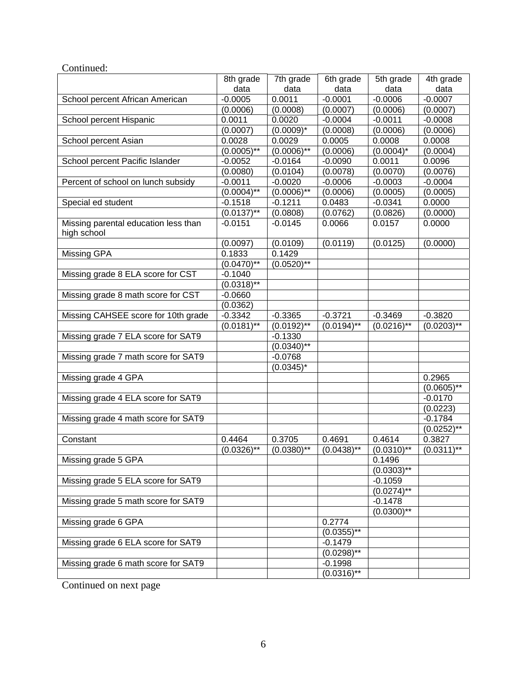|                                                     | 8th grade       | 7th grade       | 6th grade       | 5th grade     | 4th grade     |
|-----------------------------------------------------|-----------------|-----------------|-----------------|---------------|---------------|
|                                                     | data            | data            | data            | data          | data          |
| School percent African American                     | $-0.0005$       | 0.0011          | $-0.0001$       | $-0.0006$     | $-0.0007$     |
|                                                     | (0.0006)        | (0.0008)        | (0.0007)        | (0.0006)      | (0.0007)      |
| School percent Hispanic                             | 0.0011          | 0.0020          | $-0.0004$       | $-0.0011$     | $-0.0008$     |
|                                                     | (0.0007)        | $(0.0009)^*$    | (0.0008)        | (0.0006)      | (0.0006)      |
| School percent Asian                                | 0.0028          | 0.0029          | 0.0005          | 0.0008        | 0.0008        |
|                                                     | $(0.0005)$ **   | $(0.0006)$ **   | (0.0006)        | $(0.0004)^*$  | (0.0004)      |
| School percent Pacific Islander                     | $-0.0052$       | $-0.0164$       | $-0.0090$       | 0.0011        | 0.0096        |
|                                                     | (0.0080)        | (0.0104)        | (0.0078)        | (0.0070)      | (0.0076)      |
| Percent of school on lunch subsidy                  | $-0.0011$       | $-0.0020$       | $-0.0006$       | $-0.0003$     | $-0.0004$     |
|                                                     | $(0.0004)^{**}$ | $(0.0006)^{**}$ | (0.0006)        | (0.0005)      | (0.0005)      |
| Special ed student                                  | $-0.1518$       | $-0.1211$       | 0.0483          | $-0.0341$     | 0.0000        |
|                                                     | $(0.0137)$ **   | (0.0808)        | (0.0762)        | (0.0826)      | (0.0000)      |
| Missing parental education less than<br>high school | $-0.0151$       | $-0.0145$       | 0.0066          | 0.0157        | 0.0000        |
|                                                     | (0.0097)        | (0.0109)        | (0.0119)        | (0.0125)      | (0.0000)      |
| Missing GPA                                         | 0.1833          | 0.1429          |                 |               |               |
|                                                     | $(0.0470)*$     | $(0.0520)*$     |                 |               |               |
| Missing grade 8 ELA score for CST                   | $-0.1040$       |                 |                 |               |               |
|                                                     | $(0.0318)$ **   |                 |                 |               |               |
| Missing grade 8 math score for CST                  | $-0.0660$       |                 |                 |               |               |
|                                                     | (0.0362)        |                 |                 |               |               |
| Missing CAHSEE score for 10th grade                 | $-0.3342$       | $-0.3365$       | $-0.3721$       | $-0.3469$     | $-0.3820$     |
|                                                     | $(0.0181)$ **   | $(0.0192)$ **   | $(0.0194)^{**}$ | $(0.0216)$ ** | $(0.0203)$ ** |
| Missing grade 7 ELA score for SAT9                  |                 | $-0.1330$       |                 |               |               |
|                                                     |                 | $(0.0340)$ **   |                 |               |               |
| Missing grade 7 math score for SAT9                 |                 | $-0.0768$       |                 |               |               |
|                                                     |                 | $(0.0345)^*$    |                 |               |               |
| Missing grade 4 GPA                                 |                 |                 |                 |               | 0.2965        |
|                                                     |                 |                 |                 |               | $(0.0605)$ ** |
| Missing grade 4 ELA score for SAT9                  |                 |                 |                 |               | $-0.0170$     |
|                                                     |                 |                 |                 |               | (0.0223)      |
| Missing grade 4 math score for SAT9                 |                 |                 |                 |               | $-0.1784$     |
|                                                     |                 |                 |                 |               | $(0.0252)$ ** |
| Constant                                            | 0.4464          | 0.3705          | 0.4691          | 0.4614        | 0.3827        |
|                                                     | $(0.0326)$ **   | $(0.0380)$ **   | $(0.0438)$ **   | $(0.0310)$ ** | $(0.0311)$ ** |
| Missing grade 5 GPA                                 |                 |                 |                 | 0.1496        |               |
|                                                     |                 |                 |                 | $(0.0303)$ ** |               |
| Missing grade 5 ELA score for SAT9                  |                 |                 |                 | $-0.1059$     |               |
|                                                     |                 |                 |                 | $(0.0274)$ ** |               |
| Missing grade 5 math score for SAT9                 |                 |                 |                 | $-0.1478$     |               |
|                                                     |                 |                 |                 | $(0.0300)$ ** |               |
| Missing grade 6 GPA                                 |                 |                 | 0.2774          |               |               |
|                                                     |                 |                 | $(0.0355)$ **   |               |               |
| Missing grade 6 ELA score for SAT9                  |                 |                 | $-0.1479$       |               |               |
|                                                     |                 |                 | $(0.0298)$ **   |               |               |
| Missing grade 6 math score for SAT9                 |                 |                 | $-0.1998$       |               |               |
|                                                     |                 |                 | $(0.0316)$ **   |               |               |

Continued: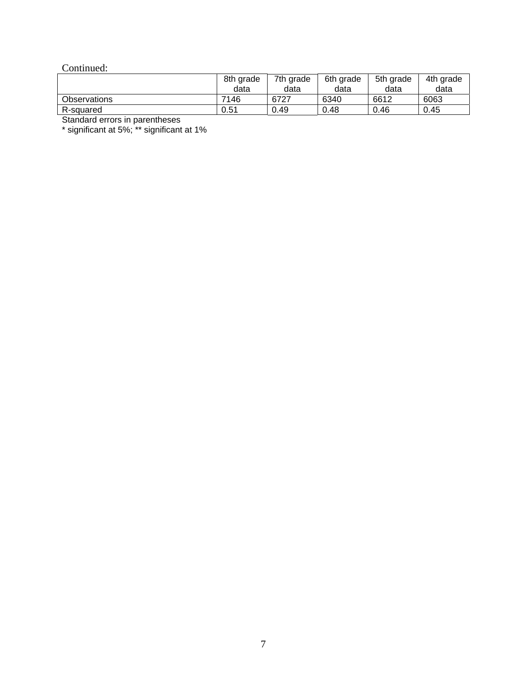#### Continued:

|                     | 8th grade<br>data | 7th grade<br>data | 6th grade<br>data | 5th grade<br>data | 4th grade<br>data |
|---------------------|-------------------|-------------------|-------------------|-------------------|-------------------|
| <b>Observations</b> | 7146              | 6727              | 6340              | 6612              | 6063              |
| R-squared           | 0.51              | 0.49              | 0.48              | 0.46              | 0.45              |

Standard errors in parentheses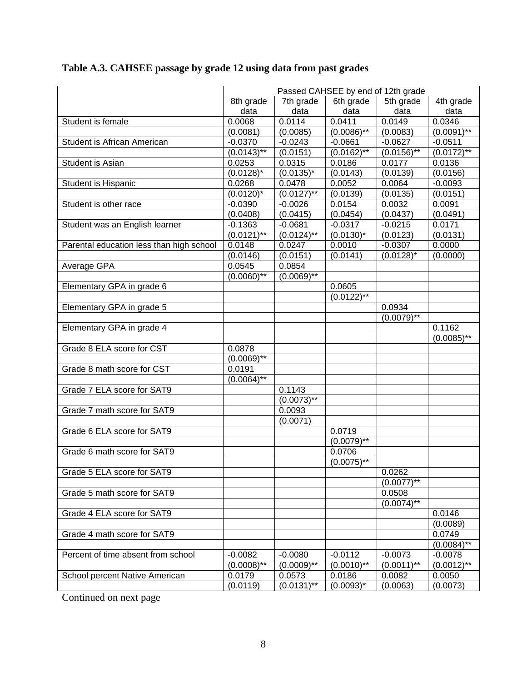|                                          | Passed CAHSEE by end of 12th grade |                  |                  |                            |                          |  |  |
|------------------------------------------|------------------------------------|------------------|------------------|----------------------------|--------------------------|--|--|
|                                          | 8th grade                          | 7th grade        | 6th grade        | 5th grade                  | 4th grade                |  |  |
|                                          | data                               | data             | data             | data                       | data                     |  |  |
| Student is female                        | 0.0068                             | 0.0114           | 0.0411           | 0.0149                     | 0.0346                   |  |  |
|                                          | (0.0081)                           | (0.0085)         | $(0.0086)$ **    | (0.0083)                   | $(0.0091)$ **            |  |  |
| Student is African American              | $-0.0370$                          | $-0.0243$        | $-0.0661$        | $-0.0627$                  | $-0.0511$                |  |  |
|                                          | $(0.01\overline{43})^{**}$         | (0.0151)         | $(0.0162)$ **    | $(0.01\overline{56})^{**}$ | $(0.0172)$ <sup>**</sup> |  |  |
| Student is Asian                         | 0.0253                             | 0.0315           | 0.0186           | 0.0177                     | 0.0136                   |  |  |
|                                          | $(0.0128)^*$                       | $(0.0135)^{*}$   | (0.0143)         | (0.0139)                   | (0.0156)                 |  |  |
| Student is Hispanic                      | 0.0268                             | 0.0478           | 0.0052           | 0.0064                     | $-0.0093$                |  |  |
|                                          | $(0.0120)^*$                       | $(0.0127)$ **    | (0.0139)         | (0.0135)                   | (0.0151)                 |  |  |
| Student is other race                    | $-0.0390$                          | $-0.0026$        | 0.0154           | 0.0032                     | 0.0091                   |  |  |
|                                          | (0.0408)                           | (0.0415)         | (0.0454)         | (0.0437)                   | (0.0491)                 |  |  |
| Student was an English learner           | $-0.1363$                          | $-0.0681$        | $-0.0317$        | $-0.0215$                  | 0.0171                   |  |  |
|                                          | $(0.01\overline{21})^{**}$         | $(0.0124)$ **    | $(0.0130)^*$     | (0.0123)                   | (0.0131)                 |  |  |
| Parental education less than high school | 0.0148                             | 0.0247           | 0.0010           | $-0.0307$                  | 0.0000                   |  |  |
|                                          | (0.0146)                           | (0.0151)         | (0.0141)         | $(0.0128)^*$               | (0.0000)                 |  |  |
| Average GPA                              | 0.0545                             | 0.0854           |                  |                            |                          |  |  |
|                                          | $(0.0060)$ **                      | $(0.0069)$ **    |                  |                            |                          |  |  |
| Elementary GPA in grade 6                |                                    |                  | 0.0605           |                            |                          |  |  |
|                                          |                                    |                  | $(0.0122)$ **    |                            |                          |  |  |
| Elementary GPA in grade 5                |                                    |                  |                  | 0.0934                     |                          |  |  |
|                                          |                                    |                  |                  | $(0.0079)$ **              |                          |  |  |
| Elementary GPA in grade 4                |                                    |                  |                  |                            | 0.1162                   |  |  |
|                                          |                                    |                  |                  |                            | $(0.0085)$ <sup>**</sup> |  |  |
| Grade 8 ELA score for CST                | 0.0878                             |                  |                  |                            |                          |  |  |
|                                          | $(0.0069)$ **                      |                  |                  |                            |                          |  |  |
| Grade 8 math score for CST               | 0.0191                             |                  |                  |                            |                          |  |  |
|                                          | $(0.0064)$ **                      |                  |                  |                            |                          |  |  |
| Grade 7 ELA score for SAT9               |                                    | 0.1143           |                  |                            |                          |  |  |
|                                          |                                    | $(0.0073)$ **    |                  |                            |                          |  |  |
| Grade 7 math score for SAT9              |                                    | 0.0093           |                  |                            |                          |  |  |
|                                          |                                    | (0.0071)         |                  |                            |                          |  |  |
| Grade 6 ELA score for SAT9               |                                    |                  | 0.0719           |                            |                          |  |  |
|                                          |                                    |                  | $(0.0079)$ **    |                            |                          |  |  |
| Grade 6 math score for SAT9              |                                    |                  | 0.0706           |                            |                          |  |  |
|                                          |                                    |                  | $(0.0075)$ **    |                            |                          |  |  |
| Grade 5 ELA score for SAT9               |                                    |                  |                  | 0.0262                     |                          |  |  |
|                                          |                                    |                  |                  | $(0.0077)$ **              |                          |  |  |
| Grade 5 math score for SAT9              |                                    |                  |                  | 0.0508                     |                          |  |  |
|                                          |                                    |                  |                  | $(0.0074)$ **              |                          |  |  |
| Grade 4 ELA score for SAT9               |                                    |                  |                  |                            | 0.0146                   |  |  |
|                                          |                                    |                  |                  |                            | (0.0089)                 |  |  |
| Grade 4 math score for SAT9              |                                    |                  |                  |                            | 0.0749                   |  |  |
|                                          |                                    |                  |                  |                            | $(0.0084)$ **            |  |  |
| Percent of time absent from school       | $-0.0082$                          | $-0.0080$        | $-0.0112$        | $-0.0073$                  | $-0.0078$                |  |  |
|                                          | $(0.0008)$ **                      | $(0.0009)$ **    | $(0.0010)^{1/4}$ | $(0.0011)$ **              | $(0.0012)$ **            |  |  |
| School percent Native American           | 0.0179                             | 0.0573           | 0.0186           | 0.0082                     | 0.0050                   |  |  |
|                                          | (0.0119)                           | $(0.0131)^{1/4}$ | $(0.0093)^{*}$   | (0.0063)                   | (0.0073)                 |  |  |
|                                          |                                    |                  |                  |                            |                          |  |  |

# **Table A.3. CAHSEE passage by grade 12 using data from past grades**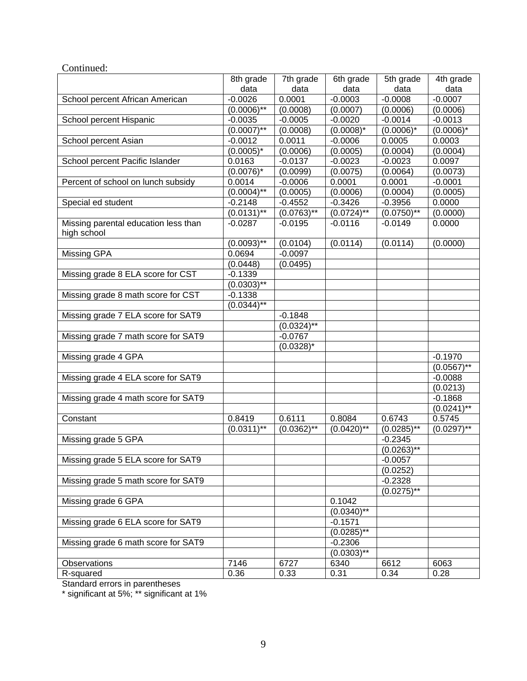| Continued:                                          |                  |                |               |               |                 |
|-----------------------------------------------------|------------------|----------------|---------------|---------------|-----------------|
|                                                     | 8th grade        | 7th grade      | 6th grade     | 5th grade     | 4th grade       |
|                                                     | data             | data           | data          | data          | data            |
| School percent African American                     | $-0.0026$        | 0.0001         | $-0.0003$     | $-0.0008$     | $-0.0007$       |
|                                                     | $(0.0006)^{**}$  | (0.0008)       | (0.0007)      | (0.0006)      | (0.0006)        |
| School percent Hispanic                             | $-0.0035$        | $-0.0005$      | $-0.0020$     | $-0.0014$     | $-0.0013$       |
|                                                     | $(0.0007)$ **    | (0.0008)       | $(0.0008)^*$  | $(0.0006)^*$  | $(0.0006)^*$    |
| School percent Asian                                | $-0.0012$        | 0.0011         | $-0.0006$     | 0.0005        | 0.0003          |
|                                                     | $(0.0005)^*$     | (0.0006)       | (0.0005)      | (0.0004)      | (0.0004)        |
| School percent Pacific Islander                     | 0.0163           | $-0.0137$      | $-0.0023$     | $-0.0023$     | 0.0097          |
|                                                     | $(0.0076)^*$     | (0.0099)       | (0.0075)      | (0.0064)      | (0.0073)        |
| Percent of school on lunch subsidy                  | 0.0014           | $-0.0006$      | 0.0001        | 0.0001        | $-0.0001$       |
|                                                     | $(0.0004)^{**}$  | (0.0005)       | (0.0006)      | (0.0004)      | (0.0005)        |
| Special ed student                                  | $-0.2148$        | $-0.4552$      | $-0.3426$     | $-0.3956$     | 0.0000          |
|                                                     | $(0.0131)$ **    | $(0.0763)$ **  | $(0.0724)$ ** | $(0.0750)$ ** | (0.0000)        |
| Missing parental education less than<br>high school | $-0.0287$        | $-0.0195$      | $-0.0116$     | $-0.0149$     | 0.0000          |
|                                                     | $(0.0093)$ **    | (0.0104)       | (0.0114)      | (0.0114)      | (0.0000)        |
| Missing GPA                                         | 0.0694           | $-0.0097$      |               |               |                 |
|                                                     | (0.0448)         | (0.0495)       |               |               |                 |
| Missing grade 8 ELA score for CST                   | $-0.1339$        |                |               |               |                 |
|                                                     | $(0.0303)^{1/8}$ |                |               |               |                 |
| Missing grade 8 math score for CST                  | $-0.1338$        |                |               |               |                 |
|                                                     | $(0.0344)^{**}$  |                |               |               |                 |
| Missing grade 7 ELA score for SAT9                  |                  | $-0.1848$      |               |               |                 |
|                                                     |                  | $(0.0324)$ **  |               |               |                 |
| Missing grade 7 math score for SAT9                 |                  | $-0.0767$      |               |               |                 |
|                                                     |                  | $(0.0328)^{*}$ |               |               |                 |
| Missing grade 4 GPA                                 |                  |                |               |               | $-0.1970$       |
|                                                     |                  |                |               |               | $(0.0567)$ **   |
| Missing grade 4 ELA score for SAT9                  |                  |                |               |               | $-0.0088$       |
|                                                     |                  |                |               |               | (0.0213)        |
| Missing grade 4 math score for SAT9                 |                  |                |               |               | $-0.1868$       |
|                                                     |                  |                |               |               | $(0.0241)$ **   |
| Constant                                            | 0.8419           | 0.6111         | 0.8084        | 0.6743        | 0.5745          |
|                                                     | $(0.0311)^{**}$  | $(0.0362)$ **  | $(0.0420)$ ** | $(0.0285)$ ** | $(0.0297)^{**}$ |
| Missing grade 5 GPA                                 |                  |                |               | $-0.2345$     |                 |
|                                                     |                  |                |               | (0.0263)      |                 |
| Missing grade 5 ELA score for SAT9                  |                  |                |               | $-0.0057$     |                 |
|                                                     |                  |                |               | (0.0252)      |                 |
| Missing grade 5 math score for SAT9                 |                  |                |               | $-0.2328$     |                 |
|                                                     |                  |                |               | $(0.0275)$ ** |                 |
| Missing grade 6 GPA                                 |                  |                | 0.1042        |               |                 |
|                                                     |                  |                | $(0.0340)$ ** |               |                 |
| Missing grade 6 ELA score for SAT9                  |                  |                | $-0.1571$     |               |                 |
|                                                     |                  |                | $(0.0285)$ ** |               |                 |
| Missing grade 6 math score for SAT9                 |                  |                | $-0.2306$     |               |                 |
|                                                     |                  |                | $(0.0303)$ ** |               |                 |
| Observations                                        | 7146             | 6727           | 6340          | 6612          | 6063            |
| R-squared                                           | 0.36             | 0.33           | 0.31          | 0.34          | 0.28            |
|                                                     |                  |                |               |               |                 |

Standard errors in parentheses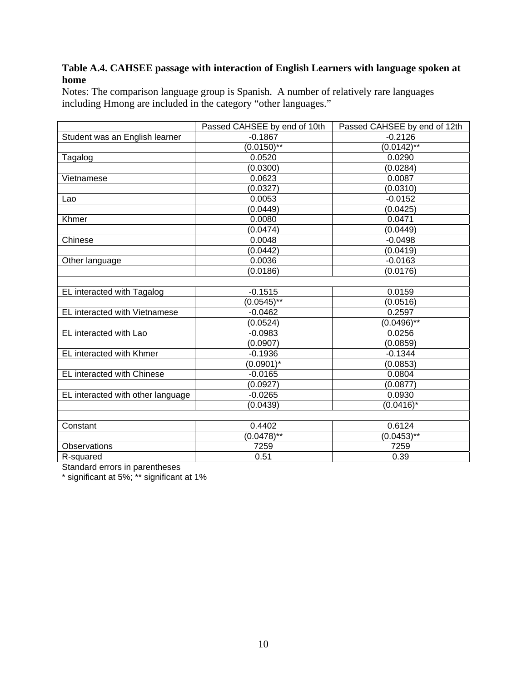#### **Table A.4. CAHSEE passage with interaction of English Learners with language spoken at home**

Notes: The comparison language group is Spanish. A number of relatively rare languages including Hmong are included in the category "other languages."

| $-0.1867$<br>Student was an English learner<br>$-0.2126$<br>$(0.0150)$ **<br>$(0.0142)$ **<br>Tagalog<br>0.0520<br>0.0290<br>(0.0300)<br>(0.0284)<br>Vietnamese<br>0.0623<br>0.0087<br>(0.0310)<br>(0.0327)<br>0.0053<br>$-0.0152$<br>Lao<br>(0.0449)<br>(0.0425)<br>Khmer<br>0.0080<br>0.0471<br>(0.0449)<br>(0.0474)<br>Chinese<br>0.0048<br>$-0.0498$<br>(0.0442)<br>(0.0419)<br>Other language<br>0.0036<br>$-0.0163$<br>(0.0186)<br>(0.0176)<br>$-0.1515$<br>EL interacted with Tagalog<br>0.0159<br>$(0.0545**$<br>(0.0516)<br>EL interacted with Vietnamese<br>0.2597<br>$-0.0462$<br>$(0.04\overline{96})^{**}$<br>(0.0524)<br>EL interacted with Lao<br>$-0.0983$<br>0.0256<br>(0.0907)<br>(0.0859)<br>EL interacted with Khmer<br>$-0.1936$<br>$-0.1344$<br>$(0.0901)^*$<br>(0.0853)<br>EL interacted with Chinese<br>$-0.0165$<br>0.0804<br>(0.0877)<br>(0.0927)<br>EL interacted with other language<br>0.0930<br>$-0.0265$<br>$(0.0416)^*$<br>(0.0439)<br>0.4402<br>0.6124<br>Constant<br>$(0.0478)$ **<br>$(0.0453)$ **<br>7259<br>Observations<br>7259<br>0.51<br>0.39<br>R-squared | Passed CAHSEE by end of 10th | Passed CAHSEE by end of 12th |
|----------------------------------------------------------------------------------------------------------------------------------------------------------------------------------------------------------------------------------------------------------------------------------------------------------------------------------------------------------------------------------------------------------------------------------------------------------------------------------------------------------------------------------------------------------------------------------------------------------------------------------------------------------------------------------------------------------------------------------------------------------------------------------------------------------------------------------------------------------------------------------------------------------------------------------------------------------------------------------------------------------------------------------------------------------------------------------------------------|------------------------------|------------------------------|
|                                                                                                                                                                                                                                                                                                                                                                                                                                                                                                                                                                                                                                                                                                                                                                                                                                                                                                                                                                                                                                                                                                    |                              |                              |
|                                                                                                                                                                                                                                                                                                                                                                                                                                                                                                                                                                                                                                                                                                                                                                                                                                                                                                                                                                                                                                                                                                    |                              |                              |
|                                                                                                                                                                                                                                                                                                                                                                                                                                                                                                                                                                                                                                                                                                                                                                                                                                                                                                                                                                                                                                                                                                    |                              |                              |
|                                                                                                                                                                                                                                                                                                                                                                                                                                                                                                                                                                                                                                                                                                                                                                                                                                                                                                                                                                                                                                                                                                    |                              |                              |
|                                                                                                                                                                                                                                                                                                                                                                                                                                                                                                                                                                                                                                                                                                                                                                                                                                                                                                                                                                                                                                                                                                    |                              |                              |
|                                                                                                                                                                                                                                                                                                                                                                                                                                                                                                                                                                                                                                                                                                                                                                                                                                                                                                                                                                                                                                                                                                    |                              |                              |
|                                                                                                                                                                                                                                                                                                                                                                                                                                                                                                                                                                                                                                                                                                                                                                                                                                                                                                                                                                                                                                                                                                    |                              |                              |
|                                                                                                                                                                                                                                                                                                                                                                                                                                                                                                                                                                                                                                                                                                                                                                                                                                                                                                                                                                                                                                                                                                    |                              |                              |
|                                                                                                                                                                                                                                                                                                                                                                                                                                                                                                                                                                                                                                                                                                                                                                                                                                                                                                                                                                                                                                                                                                    |                              |                              |
|                                                                                                                                                                                                                                                                                                                                                                                                                                                                                                                                                                                                                                                                                                                                                                                                                                                                                                                                                                                                                                                                                                    |                              |                              |
|                                                                                                                                                                                                                                                                                                                                                                                                                                                                                                                                                                                                                                                                                                                                                                                                                                                                                                                                                                                                                                                                                                    |                              |                              |
|                                                                                                                                                                                                                                                                                                                                                                                                                                                                                                                                                                                                                                                                                                                                                                                                                                                                                                                                                                                                                                                                                                    |                              |                              |
|                                                                                                                                                                                                                                                                                                                                                                                                                                                                                                                                                                                                                                                                                                                                                                                                                                                                                                                                                                                                                                                                                                    |                              |                              |
|                                                                                                                                                                                                                                                                                                                                                                                                                                                                                                                                                                                                                                                                                                                                                                                                                                                                                                                                                                                                                                                                                                    |                              |                              |
|                                                                                                                                                                                                                                                                                                                                                                                                                                                                                                                                                                                                                                                                                                                                                                                                                                                                                                                                                                                                                                                                                                    |                              |                              |
|                                                                                                                                                                                                                                                                                                                                                                                                                                                                                                                                                                                                                                                                                                                                                                                                                                                                                                                                                                                                                                                                                                    |                              |                              |
|                                                                                                                                                                                                                                                                                                                                                                                                                                                                                                                                                                                                                                                                                                                                                                                                                                                                                                                                                                                                                                                                                                    |                              |                              |
|                                                                                                                                                                                                                                                                                                                                                                                                                                                                                                                                                                                                                                                                                                                                                                                                                                                                                                                                                                                                                                                                                                    |                              |                              |
|                                                                                                                                                                                                                                                                                                                                                                                                                                                                                                                                                                                                                                                                                                                                                                                                                                                                                                                                                                                                                                                                                                    |                              |                              |
|                                                                                                                                                                                                                                                                                                                                                                                                                                                                                                                                                                                                                                                                                                                                                                                                                                                                                                                                                                                                                                                                                                    |                              |                              |
|                                                                                                                                                                                                                                                                                                                                                                                                                                                                                                                                                                                                                                                                                                                                                                                                                                                                                                                                                                                                                                                                                                    |                              |                              |
|                                                                                                                                                                                                                                                                                                                                                                                                                                                                                                                                                                                                                                                                                                                                                                                                                                                                                                                                                                                                                                                                                                    |                              |                              |
|                                                                                                                                                                                                                                                                                                                                                                                                                                                                                                                                                                                                                                                                                                                                                                                                                                                                                                                                                                                                                                                                                                    |                              |                              |
|                                                                                                                                                                                                                                                                                                                                                                                                                                                                                                                                                                                                                                                                                                                                                                                                                                                                                                                                                                                                                                                                                                    |                              |                              |
|                                                                                                                                                                                                                                                                                                                                                                                                                                                                                                                                                                                                                                                                                                                                                                                                                                                                                                                                                                                                                                                                                                    |                              |                              |
|                                                                                                                                                                                                                                                                                                                                                                                                                                                                                                                                                                                                                                                                                                                                                                                                                                                                                                                                                                                                                                                                                                    |                              |                              |
|                                                                                                                                                                                                                                                                                                                                                                                                                                                                                                                                                                                                                                                                                                                                                                                                                                                                                                                                                                                                                                                                                                    |                              |                              |
|                                                                                                                                                                                                                                                                                                                                                                                                                                                                                                                                                                                                                                                                                                                                                                                                                                                                                                                                                                                                                                                                                                    |                              |                              |
|                                                                                                                                                                                                                                                                                                                                                                                                                                                                                                                                                                                                                                                                                                                                                                                                                                                                                                                                                                                                                                                                                                    |                              |                              |
|                                                                                                                                                                                                                                                                                                                                                                                                                                                                                                                                                                                                                                                                                                                                                                                                                                                                                                                                                                                                                                                                                                    |                              |                              |
|                                                                                                                                                                                                                                                                                                                                                                                                                                                                                                                                                                                                                                                                                                                                                                                                                                                                                                                                                                                                                                                                                                    |                              |                              |
|                                                                                                                                                                                                                                                                                                                                                                                                                                                                                                                                                                                                                                                                                                                                                                                                                                                                                                                                                                                                                                                                                                    |                              |                              |

Standard errors in parentheses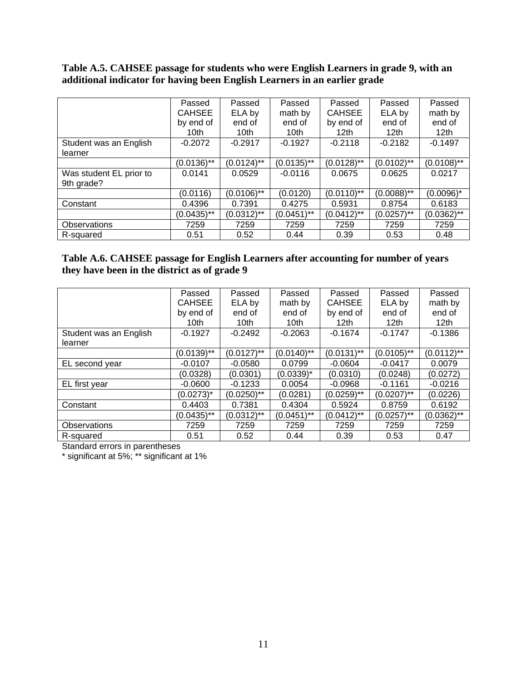#### **Table A.5. CAHSEE passage for students who were English Learners in grade 9, with an additional indicator for having been English Learners in an earlier grade**

|                         | Passed        | Passed        | Passed        | Passed        | Passed           | Passed           |
|-------------------------|---------------|---------------|---------------|---------------|------------------|------------------|
|                         | <b>CAHSEE</b> | ELA by        | math by       | <b>CAHSEE</b> | ELA by           | math by          |
|                         | by end of     | end of        | end of        | by end of     | end of           | end of           |
|                         | 10th          | 10th          | 10th          | 12th          | 12 <sub>th</sub> | 12 <sub>th</sub> |
| Student was an English  | $-0.2072$     | $-0.2917$     | $-0.1927$     | $-0.2118$     | $-0.2182$        | $-0.1497$        |
| learner                 |               |               |               |               |                  |                  |
|                         | $(0.0136)$ ** | $(0.0124)$ ** | $(0.0135)$ ** | $(0.0128)$ ** | $(0.0102)$ **    | $(0.0108)$ **    |
| Was student EL prior to | 0.0141        | 0.0529        | $-0.0116$     | 0.0675        | 0.0625           | 0.0217           |
| 9th grade?              |               |               |               |               |                  |                  |
|                         | (0.0116)      | $(0.0106)$ ** | (0.0120)      | $(0.0110)$ ** | $(0.0088)$ **    | $(0.0096)^*$     |
| Constant                | 0.4396        | 0.7391        | 0.4275        | 0.5931        | 0.8754           | 0.6183           |
|                         | $(0.0435)$ ** | $(0.0312)$ ** | $(0.0451)$ ** | $(0.0412)$ ** | $(0.0257)$ **    | $(0.0362)$ **    |
| Observations            | 7259          | 7259          | 7259          | 7259          | 7259             | 7259             |
| R-squared               | 0.51          | 0.52          | 0.44          | 0.39          | 0.53             | 0.48             |

#### **Table A.6. CAHSEE passage for English Learners after accounting for number of years they have been in the district as of grade 9**

|                        | Passed        | Passed        | Passed         | Passed        | Passed           | Passed           |
|------------------------|---------------|---------------|----------------|---------------|------------------|------------------|
|                        | <b>CAHSEE</b> | ELA by        | math by        | <b>CAHSEE</b> | ELA by           | math by          |
|                        | by end of     | end of        | end of         | by end of     | end of           | end of           |
|                        | 10th          | 10th          | 10th           | 12th          | 12 <sub>th</sub> | 12 <sub>th</sub> |
| Student was an English | $-0.1927$     | $-0.2492$     | $-0.2063$      | $-0.1674$     | $-0.1747$        | $-0.1386$        |
| learner                |               |               |                |               |                  |                  |
|                        | $(0.0139)$ ** | $(0.0127)$ ** | $(0.0140)$ **  | $(0.0131)$ ** | $(0.0105)$ **    | $(0.0112)$ **    |
| EL second year         | $-0.0107$     | $-0.0580$     | 0.0799         | $-0.0604$     | $-0.0417$        | 0.0079           |
|                        | (0.0328)      | (0.0301)      | $(0.0339)^{*}$ | (0.0310)      | (0.0248)         | (0.0272)         |
| EL first year          | $-0.0600$     | $-0.1233$     | 0.0054         | $-0.0968$     | $-0.1161$        | $-0.0216$        |
|                        | $(0.0273)^*$  | $(0.0250)$ ** | (0.0281)       | $(0.0259)$ ** | $(0.0207)$ **    | (0.0226)         |
| Constant               | 0.4403        | 0.7381        | 0.4304         | 0.5924        | 0.8759           | 0.6192           |
|                        | $(0.0435)$ ** | $(0.0312)$ ** | $(0.0451)$ **  | $(0.0412)$ ** | $(0.0257)$ **    | $(0.0362)$ **    |
| <b>Observations</b>    | 7259          | 7259          | 7259           | 7259          | 7259             | 7259             |
| R-squared              | 0.51          | 0.52          | 0.44           | 0.39          | 0.53             | 0.47             |

Standard errors in parentheses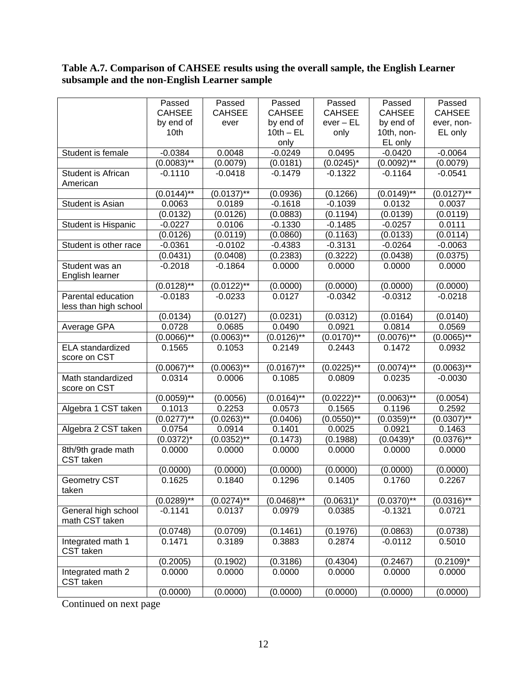#### **Table A.7. Comparison of CAHSEE results using the overall sample, the English Learner subsample and the non-English Learner sample**

|                       | Passed                   | Passed        | Passed                     | Passed                | Passed                | Passed        |
|-----------------------|--------------------------|---------------|----------------------------|-----------------------|-----------------------|---------------|
|                       | <b>CAHSEE</b>            | <b>CAHSEE</b> | <b>CAHSEE</b>              | <b>CAHSEE</b>         | <b>CAHSEE</b>         | <b>CAHSEE</b> |
|                       | by end of                | ever          | by end of                  | $ever - EL$           | by end of             | ever, non-    |
|                       | 10th                     |               | $10th - EL$                | only                  | 10th, non-            | EL only       |
|                       |                          |               | only                       |                       | EL only               |               |
| Student is female     | $-0.0384$                | 0.0048        | $-0.0249$                  | 0.0495                | $-0.0420$             | $-0.0064$     |
|                       | $(0.0083)$ **            | (0.0079)      | (0.0181)                   | $(0.0245)^*$          | $(0.0092)$ **         | (0.0079)      |
| Student is African    | $-0.1110$                | $-0.0418$     | $-0.1479$                  | $-0.1322$             | $-0.1164$             | $-0.0541$     |
| American              |                          |               |                            |                       |                       |               |
|                       | $(0.0144)$ **            | $(0.0137)$ ** | (0.0936)                   | (0.1266)              | $(0.0149)$ **         | $(0.0127)$ ** |
| Student is Asian      | 0.0063                   | 0.0189        | $-0.1618$                  | $-0.1039$             | 0.0132                | 0.0037        |
|                       | (0.0132)                 | (0.0126)      | (0.0883)                   | (0.1194)              | (0.0139)              | (0.0119)      |
| Student is Hispanic   | $-0.0227$                | 0.0106        | $-0.1330$                  | $-0.1485$             | $-0.0257$             | 0.0111        |
|                       | (0.0126)                 | (0.0119)      | (0.0860)                   | (0.1163)              | (0.0133)              | (0.0114)      |
| Student is other race | $-0.0361$                | $-0.0102$     | $-0.4383$                  | $-0.3131$             | $-0.0264$             | $-0.0063$     |
|                       | (0.0431)                 | (0.0408)      | (0.2383)                   | (0.3222)              | (0.0438)              | (0.0375)      |
| Student was an        | $-0.2018$                | $-0.1864$     | 0.0000                     | 0.0000                | 0.0000                | 0.0000        |
| English learner       | $(0.0128)$ <sup>**</sup> | $(0.0122)$ ** |                            |                       |                       | (0.0000)      |
| Parental education    | $-0.0183$                | $-0.0233$     | (0.0000)<br>0.0127         | (0.0000)<br>$-0.0342$ | (0.0000)<br>$-0.0312$ | $-0.0218$     |
| less than high school |                          |               |                            |                       |                       |               |
|                       | (0.0134)                 | (0.0127)      | (0.0231)                   | (0.0312)              | (0.0164)              | (0.0140)      |
| Average GPA           | 0.0728                   | 0.0685        | 0.0490                     | 0.0921                | 0.0814                | 0.0569        |
|                       | $(0.0066)$ **            | $(0.0063)$ ** | $(0.01\overline{26})^{**}$ | $(0.0170)$ **         | $(0.0076)$ **         | $(0.0065)$ ** |
| ELA standardized      | 0.1565                   | 0.1053        | 0.2149                     | 0.2443                | 0.1472                | 0.0932        |
| score on CST          |                          |               |                            |                       |                       |               |
|                       | $(0.0067)$ **            | $(0.0063)$ ** | $(0.0167)^{1/4}$           | $(0.0225)$ **         | $(0.0074)$ **         | $(0.0063)$ ** |
| Math standardized     | 0.0314                   | 0.0006        | 0.1085                     | 0.0809                | 0.0235                | $-0.0030$     |
| score on CST          |                          |               |                            |                       |                       |               |
|                       | $(0.0059)$ **            | (0.0056)      | $(0.0164)^{**}$            | $(0.0222)^{**}$       | $(0.0063)$ **         | (0.0054)      |
| Algebra 1 CST taken   | 0.1013                   | 0.2253        | 0.0573                     | 0.1565                | 0.1196                | 0.2592        |
|                       | $(0.0277)$ **            | $(0.0263)$ ** | (0.0406)                   | $(0.0550)$ **         | $(0.0359)$ **         | $(0.0307)$ ** |
| Algebra 2 CST taken   | 0.0754                   | 0.0914        | 0.1401                     | 0.0025                | 0.0921                | 0.1463        |
|                       | $(0.0372)^{*}$           | $(0.0352)$ ** | (0.1473)                   | (0.1988)              | $(0.0439)^*$          | $(0.0376)$ ** |
| 8th/9th grade math    | 0.0000                   | 0.0000        | 0.0000                     | 0.0000                | 0.0000                | 0.0000        |
| CST taken             |                          |               |                            |                       |                       |               |
|                       | (0.0000)                 | (0.0000)      | (0.0000)                   | (0.0000)              | (0.0000)              | (0.0000)      |
| Geometry CST          | 0.1625                   | 0.1840        | 0.1296                     | 0.1405                | 0.1760                | 0.2267        |
| taken                 |                          |               |                            |                       |                       |               |
|                       | $(0.0289)$ **            | $(0.0274)$ ** | $(0.0468)$ **              | $(0.0631)^*$          | $(0.0370)$ **         | $(0.0316)$ ** |
| General high school   | $-0.1141$                | 0.0137        | 0.0979                     | 0.0385                | $-0.1321$             | 0.0721        |
| math CST taken        |                          |               |                            |                       |                       |               |
|                       | (0.0748)                 | (0.0709)      | (0.1461)                   | (0.1976)              | (0.0863)              | (0.0738)      |
| Integrated math 1     | 0.1471                   | 0.3189        | 0.3883                     | 0.2874                | $-0.0112$             | 0.5010        |
| CST taken             |                          |               |                            |                       |                       |               |
|                       | (0.2005)                 | (0.1902)      | (0.3186)                   | (0.4304)              | (0.2467)              | $(0.2109)^*$  |
| Integrated math 2     | 0.0000                   | 0.0000        | 0.0000                     | 0.0000                | 0.0000                | 0.0000        |
| CST taken             |                          |               |                            |                       |                       |               |
|                       | (0.0000)                 | (0.0000)      | (0.0000)                   | (0.0000)              | (0.0000)              | (0.0000)      |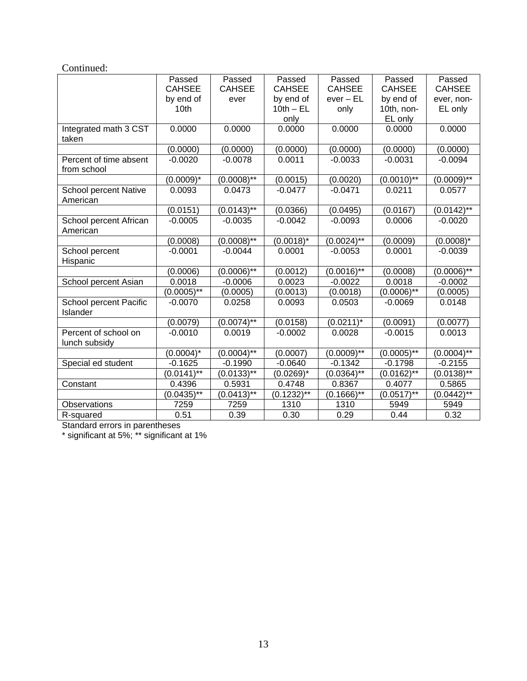| Continued:                               |                            |                  |                |                  |               |               |
|------------------------------------------|----------------------------|------------------|----------------|------------------|---------------|---------------|
|                                          | Passed                     | Passed           | Passed         | Passed           | Passed        | Passed        |
|                                          | <b>CAHSEE</b>              | <b>CAHSEE</b>    | <b>CAHSEE</b>  | <b>CAHSEE</b>    | <b>CAHSEE</b> | <b>CAHSEE</b> |
|                                          | by end of                  | ever             | by end of      | $ever - EL$      | by end of     | ever, non-    |
|                                          | 10 <sub>th</sub>           |                  | $10th - EL$    | only             | 10th, non-    | EL only       |
|                                          |                            |                  | only           |                  | EL only       |               |
| Integrated math 3 CST<br>taken           | 0.0000                     | 0.0000           | 0.0000         | 0.0000           | 0.0000        | 0.0000        |
|                                          | (0.0000)                   | (0.0000)         | (0.0000)       | (0.0000)         | (0.0000)      | (0.0000)      |
| Percent of time absent<br>from school    | $-0.0020$                  | $-0.0078$        | 0.0011         | $-0.0033$        | $-0.0031$     | $-0.0094$     |
|                                          | $(0.0009)^*$               | $(0.0008)$ **    | (0.0015)       | (0.0020)         | $(0.0010)*$   | $(0.0009)*$   |
| <b>School percent Native</b><br>American | 0.0093                     | 0.0473           | $-0.0477$      | $-0.0471$        | 0.0211        | 0.0577        |
|                                          | (0.0151)                   | $(0.0143)^{1/4}$ | (0.0366)       | (0.0495)         | (0.0167)      | $(0.0142)$ ** |
| School percent African<br>American       | $-0.0005$                  | $-0.0035$        | $-0.0042$      | $-0.0093$        | 0.0006        | $-0.0020$     |
|                                          | (0.0008)                   | $(0.0008)$ **    | $(0.0018)^{*}$ | $(0.0024)$ **    | (0.0009)      | $(0.0008)^*$  |
| School percent<br>Hispanic               | $-0.0001$                  | $-0.0044$        | 0.0001         | $-0.0053$        | 0.0001        | $-0.0039$     |
|                                          | (0.0006)                   | $(0.0006)$ **    | (0.0012)       | $(0.0016)$ **    | (0.0008)      | $(0.0006)$ ** |
| School percent Asian                     | 0.0018                     | $-0.0006$        | 0.0023         | $-0.0022$        | 0.0018        | $-0.0002$     |
|                                          | $(0.0005)$ **              | (0.0005)         | (0.0013)       | (0.0018)         | $(0.0006)$ ** | (0.0005)      |
| School percent Pacific<br>Islander       | $-0.0070$                  | 0.0258           | 0.0093         | 0.0503           | $-0.0069$     | 0.0148        |
|                                          | (0.0079)                   | $(0.0074)$ **    | (0.0158)       | $(0.0211)^*$     | (0.0091)      | (0.0077)      |
| Percent of school on<br>lunch subsidy    | $-0.0010$                  | 0.0019           | $-0.0002$      | 0.0028           | $-0.0015$     | 0.0013        |
|                                          | $(0.0004)^*$               | $(0.0004)^{**}$  | (0.0007)       | $(0.0009)*$      | $(0.0005)$ ** | $(0.0004)$ ** |
| Special ed student                       | $-0.1625$                  | $-0.1990$        | $-0.0640$      | $-0.1342$        | $-0.1798$     | $-0.2155$     |
|                                          | $(0.0141)$ **              | $(0.0133)^{1/8}$ | $(0.0269)^*$   | $(0.0364)^{1/8}$ | $(0.0162)$ ** | $(0.0138)$ ** |
| Constant                                 | 0.4396                     | 0.5931           | 0.4748         | 0.8367           | 0.4077        | 0.5865        |
|                                          | $(0.04\overline{35})^{**}$ | $(0.0413)$ **    | $(0.1232)$ **  | $(0.1666)$ **    | $(0.0517)$ ** | $(0.0442)$ ** |
| Observations                             | 7259                       | 7259             | 1310           | 1310             | 5949          | 5949          |
| R-squared                                | 0.51                       | 0.39             | 0.30           | 0.29             | 0.44          | 0.32          |

Standard errors in parentheses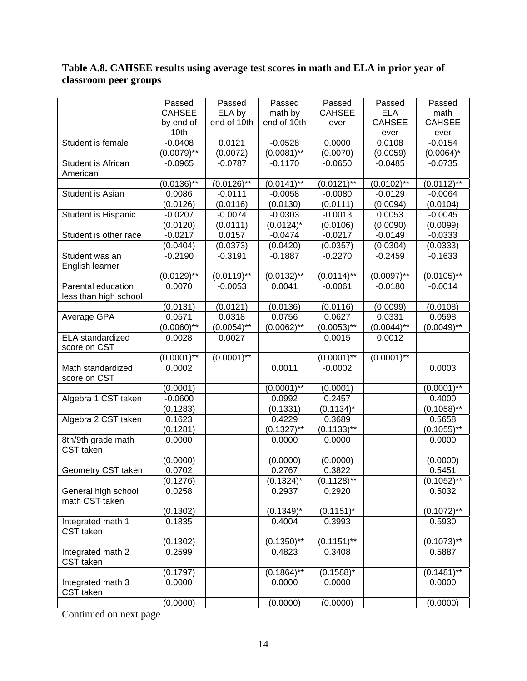#### **Table A.8. CAHSEE results using average test scores in math and ELA in prior year of classroom peer groups**

|                                | Passed                     | Passed        | Passed          | Passed                     | Passed        | Passed        |
|--------------------------------|----------------------------|---------------|-----------------|----------------------------|---------------|---------------|
|                                | <b>CAHSEE</b>              | ELA by        | math by         | <b>CAHSEE</b>              | <b>ELA</b>    | math          |
|                                | by end of                  | end of 10th   | end of 10th     | ever                       | <b>CAHSEE</b> | <b>CAHSEE</b> |
|                                | 10th                       |               |                 |                            | ever          | ever          |
| Student is female              | $-0.0408$                  | 0.0121        | $-0.0528$       | 0.0000                     | 0.0108        | $-0.0154$     |
|                                | $(0.0079)$ **              | (0.0072)      | $(0.0081)^{**}$ | (0.0070)                   | (0.0059)      | $(0.0064)^*$  |
| Student is African             | $-0.0965$                  | $-0.0787$     | $-0.1170$       | $-0.0650$                  | $-0.0485$     | $-0.0735$     |
| American                       |                            |               |                 |                            |               |               |
|                                | $(0.01\overline{36})^{**}$ | $(0.0126)$ ** | $(0.0141)$ **   | $(0.0121)^{**}$            | $(0.0102)$ ** | $(0.0112)$ ** |
| Student is Asian               | 0.0086                     | $-0.0111$     | $-0.0058$       | $-0.0080$                  | $-0.0129$     | $-0.0064$     |
|                                | (0.0126)                   | (0.0116)      | (0.0130)        | (0.0111)                   | (0.0094)      | (0.0104)      |
| Student is Hispanic            | $-0.0207$                  | $-0.0074$     | $-0.0303$       | $-0.0013$                  | 0.0053        | $-0.0045$     |
|                                | (0.0120)                   | (0.0111)      | $(0.0124)^*$    | (0.0106)                   | (0.0090)      | (0.0099)      |
| Student is other race          | $-0.0217$                  | 0.0157        | $-0.0474$       | $-0.0217$                  | $-0.0149$     | $-0.0333$     |
|                                | (0.0404)                   | (0.0373)      | (0.0420)        | (0.0357)                   | (0.0304)      | (0.0333)      |
| Student was an                 | $-0.2190$                  | $-0.3191$     | $-0.1887$       | $-0.2270$                  | $-0.2459$     | $-0.1633$     |
| English learner                |                            |               |                 |                            |               |               |
|                                | $(0.0129)$ **              | $(0.0119)$ ** | $(0.0132)$ **   | $(0.0114)$ **              | $(0.0097)$ ** | $(0.0105)$ ** |
| Parental education             | 0.0070                     | $-0.0053$     | 0.0041          | $-0.0061$                  | $-0.0180$     | $-0.0014$     |
| less than high school          |                            |               |                 |                            |               |               |
|                                | (0.0131)                   | (0.0121)      | (0.0136)        | (0.0116)                   | (0.0099)      | (0.0108)      |
| Average GPA                    | 0.0571                     | 0.0318        | 0.0756          | 0.0627                     | 0.0331        | 0.0598        |
|                                | $(0.0060)$ **              | $(0.0054)$ ** | $(0.0062)$ **   | $(0.0053)$ **              | $(0.0044)$ ** | $(0.0049)$ ** |
| <b>ELA</b> standardized        | 0.0028                     | 0.0027        |                 | 0.0015                     | 0.0012        |               |
| score on CST                   |                            |               |                 |                            |               |               |
|                                | $(0.0001)$ **              | $(0.0001)$ ** |                 | $(0.0001)$ **              | $(0.0001)$ ** |               |
| Math standardized              | 0.0002                     |               | 0.0011          | $-0.0002$                  |               | 0.0003        |
| score on CST                   |                            |               |                 |                            |               |               |
|                                | (0.0001)                   |               | $(0.0001)$ **   | (0.0001)                   |               | $(0.0001)$ ** |
| Algebra 1 CST taken            | $-0.0600$                  |               | 0.0992          | 0.2457                     |               | 0.4000        |
|                                | (0.1283)                   |               | (0.1331)        | $(0.1134)^*$               |               | $(0.1058)$ ** |
| Algebra 2 CST taken            | 0.1623                     |               | 0.4229          | 0.3689                     |               | 0.5658        |
|                                | (0.1281)                   |               | $(0.1327)$ **   | $(0.11\overline{33})^{**}$ |               | $(0.1055)$ ** |
| 8th/9th grade math             | 0.0000                     |               | 0.0000          | 0.0000                     |               | 0.0000        |
| CST taken                      |                            |               |                 |                            |               |               |
|                                | (0.0000)                   |               | (0.0000)        | (0.0000)                   |               | (0.0000)      |
| Geometry CST taken             | 0.0702                     |               | 0.2767          | 0.3822                     |               | 0.5451        |
|                                | (0.1276)                   |               | $(0.1324)^*$    | $(0.1128)$ **              |               | $(0.1052)$ ** |
| General high school            | 0.0258                     |               | 0.2937          | 0.2920                     |               | 0.5032        |
| math CST taken                 |                            |               |                 |                            |               |               |
|                                | (0.1302)                   |               | $(0.1349)^*$    | $(0.1151)^*$               |               | $(0.1072)$ ** |
| Integrated math 1              | 0.1835                     |               | 0.4004          | 0.3993                     |               | 0.5930        |
| CST taken                      |                            |               |                 |                            |               |               |
|                                | (0.1302)                   |               | $(0.1350)$ **   | $(0.1151)$ **              |               | $(0.1073)$ ** |
| Integrated math 2<br>CST taken | 0.2599                     |               | 0.4823          | 0.3408                     |               | 0.5887        |
|                                | (0.1797)                   |               | $(0.1864)$ **   | $(0.1588)^*$               |               | $(0.1481)$ ** |
| Integrated math 3<br>CST taken | 0.0000                     |               | 0.0000          | 0.0000                     |               | 0.0000        |
|                                | (0.0000)                   |               | (0.0000)        | (0.0000)                   |               | (0.0000)      |
|                                |                            |               |                 |                            |               |               |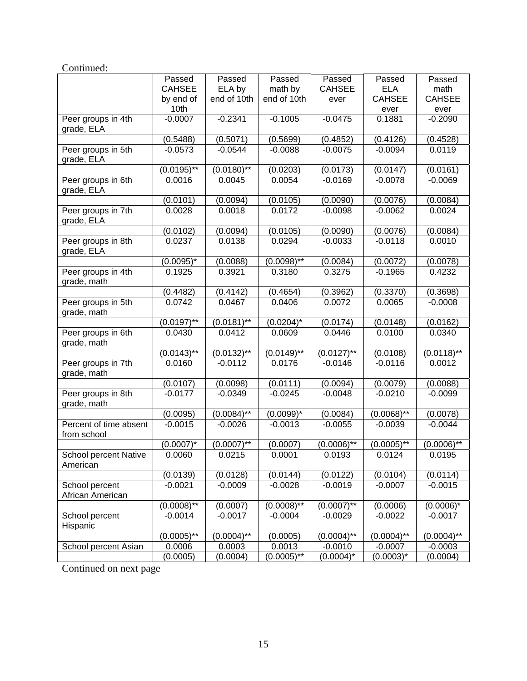| Continued:                               |               |                 |                |               |               |               |
|------------------------------------------|---------------|-----------------|----------------|---------------|---------------|---------------|
|                                          | Passed        | Passed          | Passed         | Passed        | Passed        | Passed        |
|                                          | <b>CAHSEE</b> | ELA by          | math by        | <b>CAHSEE</b> | <b>ELA</b>    | math          |
|                                          | by end of     | end of 10th     | end of 10th    | ever          | <b>CAHSEE</b> | <b>CAHSEE</b> |
|                                          | 10th          |                 |                |               | ever          | ever          |
| Peer groups in 4th<br>grade, ELA         | $-0.0007$     | $-0.2341$       | $-0.1005$      | $-0.0475$     | 0.1881        | $-0.2090$     |
|                                          | (0.5488)      | (0.5071)        | (0.5699)       | (0.4852)      | (0.4126)      | (0.4528)      |
| Peer groups in 5th<br>grade, ELA         | $-0.0573$     | $-0.0544$       | $-0.0088$      | $-0.0075$     | $-0.0094$     | 0.0119        |
|                                          | $(0.0195)$ ** | $(0.0180)$ **   | (0.0203)       | (0.0173)      | (0.0147)      | (0.0161)      |
| Peer groups in 6th<br>grade, ELA         | 0.0016        | 0.0045          | 0.0054         | $-0.0169$     | $-0.0078$     | $-0.0069$     |
|                                          | (0.0101)      | (0.0094)        | (0.0105)       | (0.0090)      | (0.0076)      | (0.0084)      |
| Peer groups in 7th<br>grade, ELA         | 0.0028        | 0.0018          | 0.0172         | $-0.0098$     | $-0.0062$     | 0.0024        |
|                                          | (0.0102)      | (0.0094)        | (0.0105)       | (0.0090)      | (0.0076)      | (0.0084)      |
| Peer groups in 8th<br>grade, ELA         | 0.0237        | 0.0138          | 0.0294         | $-0.0033$     | $-0.0118$     | 0.0010        |
|                                          | $(0.0095)^*$  | (0.0088)        | $(0.0098)$ **  | (0.0084)      | (0.0072)      | (0.0078)      |
| Peer groups in 4th<br>grade, math        | 0.1925        | 0.3921          | 0.3180         | 0.3275        | $-0.1965$     | 0.4232        |
|                                          | (0.4482)      | (0.4142)        | (0.4654)       | (0.3962)      | (0.3370)      | (0.3698)      |
| Peer groups in 5th<br>grade, math        | 0.0742        | 0.0467          | 0.0406         | 0.0072        | 0.0065        | $-0.0008$     |
|                                          | $(0.0197)$ ** | $(0.0181)^{**}$ | $(0.0204)^*$   | (0.0174)      | (0.0148)      | (0.0162)      |
| Peer groups in 6th<br>grade, math        | 0.0430        | 0.0412          | 0.0609         | 0.0446        | 0.0100        | 0.0340        |
|                                          | $(0.0143)$ ** | $(0.0132)$ **   | $(0.0149)$ **  | $(0.0127)$ ** | (0.0108)      | $(0.0118)$ ** |
| Peer groups in 7th<br>grade, math        | 0.0160        | $-0.0112$       | 0.0176         | $-0.0146$     | $-0.0116$     | 0.0012        |
|                                          | (0.0107)      | (0.0098)        | (0.0111)       | (0.0094)      | (0.0079)      | (0.0088)      |
| Peer groups in 8th<br>grade, math        | $-0.0177$     | $-0.0349$       | $-0.0245$      | $-0.0048$     | $-0.0210$     | $-0.0099$     |
|                                          | (0.0095)      | $(0.0084)$ **   | $(0.0099)^{*}$ | (0.0084)      | $(0.0068)$ ** | (0.0078)      |
| Percent of time absent<br>from school    | $-0.0015$     | $-0.0026$       | $-0.0013$      | $-0.0055$     | $-0.0039$     | $-0.0044$     |
|                                          | $(0.0007)^*$  | $(0.0007)$ **   | (0.0007)       | $(0.0006)$ ** | $(0.0005)$ ** | $(0.0006)$ ** |
| <b>School percent Native</b><br>American | 0.0060        | 0.0215          | 0.0001         | 0.0193        | 0.0124        | 0.0195        |
|                                          | (0.0139)      | (0.0128)        | (0.0144)       | (0.0122)      | (0.0104)      | (0.0114)      |
| School percent<br>African American       | $-0.0021$     | $-0.0009$       | $-0.0028$      | $-0.0019$     | $-0.0007$     | $-0.0015$     |
|                                          | $(0.0008)*$   | (0.0007)        | $(0.0008)$ **  | $(0.0007)$ ** | (0.0006)      | $(0.0006)^*$  |
| School percent<br>Hispanic               | $-0.0014$     | $-0.0017$       | $-0.0004$      | $-0.0029$     | $-0.0022$     | $-0.0017$     |
|                                          | $(0.0005)$ ** | $(0.0004)$ **   | (0.0005)       | $(0.0004)$ ** | $(0.0004)$ ** | $(0.0004)$ ** |
| School percent Asian                     | 0.0006        | 0.0003          | 0.0013         | $-0.0010$     | $-0.0007$     | $-0.0003$     |
|                                          | (0.0005)      | (0.0004)        | $(0.0005)*$    | $(0.0004)^*$  | $(0.0003)^*$  | (0.0004)      |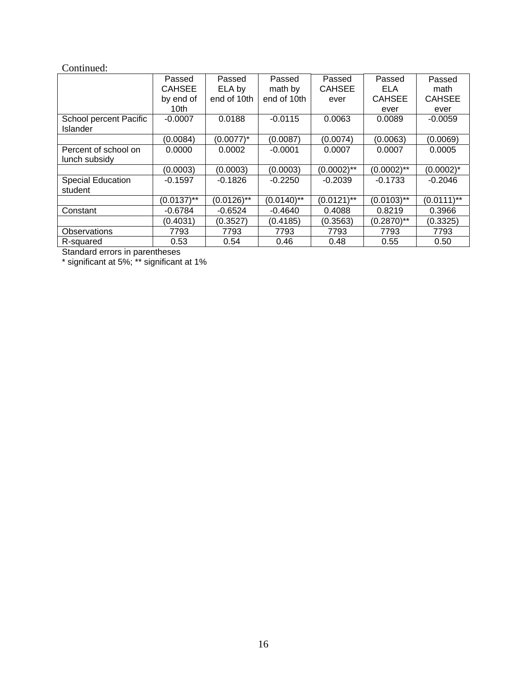#### Continued:

|                          | Passed           | Passed        | Passed        | Passed        | Passed        | Passed        |
|--------------------------|------------------|---------------|---------------|---------------|---------------|---------------|
|                          | <b>CAHSEE</b>    | ELA by        | math by       | <b>CAHSEE</b> | ELA           | math          |
|                          | by end of        | end of 10th   | end of 10th   | ever          | <b>CAHSEE</b> | <b>CAHSEE</b> |
|                          | 10 <sub>th</sub> |               |               |               | ever          | ever          |
| School percent Pacific   | $-0.0007$        | 0.0188        | $-0.0115$     | 0.0063        | 0.0089        | $-0.0059$     |
| Islander                 |                  |               |               |               |               |               |
|                          | (0.0084)         | (0.0077)*     | (0.0087)      | (0.0074)      | (0.0063)      | (0.0069)      |
| Percent of school on     | 0.0000           | 0.0002        | $-0.0001$     | 0.0007        | 0.0007        | 0.0005        |
| lunch subsidy            |                  |               |               |               |               |               |
|                          | (0.0003)         | (0.0003)      | (0.0003)      | $(0.0002)$ ** | $(0.0002)$ ** | $(0.0002)^*$  |
| <b>Special Education</b> | $-0.1597$        | $-0.1826$     | $-0.2250$     | $-0.2039$     | $-0.1733$     | $-0.2046$     |
| student                  |                  |               |               |               |               |               |
|                          | $(0.0137)$ **    | $(0.0126)$ ** | $(0.0140)$ ** | $(0.0121)$ ** | $(0.0103)$ ** | $(0.0111)$ ** |
| Constant                 | $-0.6784$        | $-0.6524$     | $-0.4640$     | 0.4088        | 0.8219        | 0.3966        |
|                          | (0.4031)         | (0.3527)      | (0.4185)      | (0.3563)      | $(0.2870)$ ** | (0.3325)      |
| Observations             | 7793             | 7793          | 7793          | 7793          | 7793          | 7793          |
| R-squared                | 0.53             | 0.54          | 0.46          | 0.48          | 0.55          | 0.50          |

Standard errors in parentheses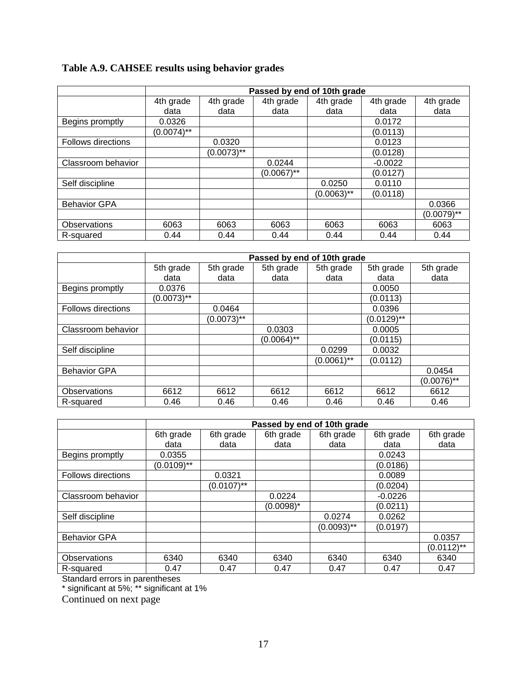|  |  | Table A.9. CAHSEE results using behavior grades |  |  |
|--|--|-------------------------------------------------|--|--|
|--|--|-------------------------------------------------|--|--|

|                     | Passed by end of 10th grade |               |               |               |           |               |
|---------------------|-----------------------------|---------------|---------------|---------------|-----------|---------------|
|                     | 4th grade                   | 4th grade     | 4th grade     | 4th grade     | 4th grade | 4th grade     |
|                     | data                        | data          | data          | data          | data      | data          |
| Begins promptly     | 0.0326                      |               |               |               | 0.0172    |               |
|                     | $(0.0074)$ **               |               |               |               | (0.0113)  |               |
| Follows directions  |                             | 0.0320        |               |               | 0.0123    |               |
|                     |                             | $(0.0073)$ ** |               |               | (0.0128)  |               |
| Classroom behavior  |                             |               | 0.0244        |               | $-0.0022$ |               |
|                     |                             |               | $(0.0067)$ ** |               | (0.0127)  |               |
| Self discipline     |                             |               |               | 0.0250        | 0.0110    |               |
|                     |                             |               |               | $(0.0063)$ ** | (0.0118)  |               |
| <b>Behavior GPA</b> |                             |               |               |               |           | 0.0366        |
|                     |                             |               |               |               |           | $(0.0079)$ ** |
| Observations        | 6063                        | 6063          | 6063          | 6063          | 6063      | 6063          |
| R-squared           | 0.44                        | 0.44          | 0.44          | 0.44          | 0.44      | 0.44          |

|                           | Passed by end of 10th grade |               |               |               |               |               |  |
|---------------------------|-----------------------------|---------------|---------------|---------------|---------------|---------------|--|
|                           | 5th grade                   | 5th grade     | 5th grade     | 5th grade     | 5th grade     | 5th grade     |  |
|                           | data                        | data          | data          | data          | data          | data          |  |
| Begins promptly           | 0.0376                      |               |               |               | 0.0050        |               |  |
|                           | $(0.0073)$ **               |               |               |               | (0.0113)      |               |  |
| <b>Follows directions</b> |                             | 0.0464        |               |               | 0.0396        |               |  |
|                           |                             | $(0.0073)$ ** |               |               | $(0.0129)$ ** |               |  |
| Classroom behavior        |                             |               | 0.0303        |               | 0.0005        |               |  |
|                           |                             |               | $(0.0064)$ ** |               | (0.0115)      |               |  |
| Self discipline           |                             |               |               | 0.0299        | 0.0032        |               |  |
|                           |                             |               |               | $(0.0061)$ ** | (0.0112)      |               |  |
| <b>Behavior GPA</b>       |                             |               |               |               |               | 0.0454        |  |
|                           |                             |               |               |               |               | $(0.0076)$ ** |  |
| Observations              | 6612                        | 6612          | 6612          | 6612          | 6612          | 6612          |  |
| R-squared                 | 0.46                        | 0.46          | 0.46          | 0.46          | 0.46          | 0.46          |  |

|                           | Passed by end of 10th grade |               |           |               |           |               |
|---------------------------|-----------------------------|---------------|-----------|---------------|-----------|---------------|
|                           | 6th grade                   | 6th grade     | 6th grade | 6th grade     | 6th grade | 6th grade     |
|                           | data                        | data          | data      | data          | data      | data          |
| Begins promptly           | 0.0355                      |               |           |               | 0.0243    |               |
|                           | $(0.0109)$ **               |               |           |               | (0.0186)  |               |
| <b>Follows directions</b> |                             | 0.0321        |           |               | 0.0089    |               |
|                           |                             | $(0.0107)$ ** |           |               | (0.0204)  |               |
| Classroom behavior        |                             |               | 0.0224    |               | $-0.0226$ |               |
|                           |                             |               | (0.0098)* |               | (0.0211)  |               |
| Self discipline           |                             |               |           | 0.0274        | 0.0262    |               |
|                           |                             |               |           | $(0.0093)$ ** | (0.0197)  |               |
| <b>Behavior GPA</b>       |                             |               |           |               |           | 0.0357        |
|                           |                             |               |           |               |           | $(0.0112)$ ** |
| Observations              | 6340                        | 6340          | 6340      | 6340          | 6340      | 6340          |
| R-squared                 | 0.47                        | 0.47          | 0.47      | 0.47          | 0.47      | 0.47          |

Standard errors in parentheses

\* significant at 5%; \*\* significant at 1%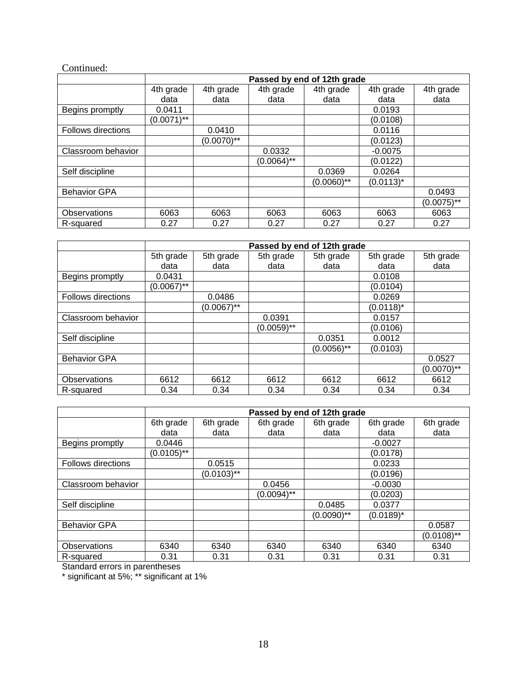#### Continued:

|                           | Passed by end of 12th grade |               |               |               |              |               |
|---------------------------|-----------------------------|---------------|---------------|---------------|--------------|---------------|
|                           | 4th grade                   | 4th grade     | 4th grade     | 4th grade     | 4th grade    | 4th grade     |
|                           | data                        | data          | data          | data          | data         | data          |
| Begins promptly           | 0.0411                      |               |               |               | 0.0193       |               |
|                           | $(0.0071)$ **               |               |               |               | (0.0108)     |               |
| <b>Follows directions</b> |                             | 0.0410        |               |               | 0.0116       |               |
|                           |                             | $(0.0070)$ ** |               |               | (0.0123)     |               |
| Classroom behavior        |                             |               | 0.0332        |               | $-0.0075$    |               |
|                           |                             |               | $(0.0064)$ ** |               | (0.0122)     |               |
| Self discipline           |                             |               |               | 0.0369        | 0.0264       |               |
|                           |                             |               |               | $(0.0060)$ ** | $(0.0113)^*$ |               |
| <b>Behavior GPA</b>       |                             |               |               |               |              | 0.0493        |
|                           |                             |               |               |               |              | $(0.0075)$ ** |
| Observations              | 6063                        | 6063          | 6063          | 6063          | 6063         | 6063          |
| R-squared                 | 0.27                        | 0.27          | 0.27          | 0.27          | 0.27         | 0.27          |

|                           | Passed by end of 12th grade |               |            |               |              |               |  |
|---------------------------|-----------------------------|---------------|------------|---------------|--------------|---------------|--|
|                           | 5th grade                   | 5th grade     | 5th grade  | 5th grade     | 5th grade    | 5th grade     |  |
|                           | data                        | data          | data       | data          | data         | data          |  |
| Begins promptly           | 0.0431                      |               |            |               | 0.0108       |               |  |
|                           | $(0.0067)$ **               |               |            |               | (0.0104)     |               |  |
| <b>Follows directions</b> |                             | 0.0486        |            |               | 0.0269       |               |  |
|                           |                             | $(0.0067)$ ** |            |               | $(0.0118)^*$ |               |  |
| Classroom behavior        |                             |               | 0.0391     |               | 0.0157       |               |  |
|                           |                             |               | (0.0059)** |               | (0.0106)     |               |  |
| Self discipline           |                             |               |            | 0.0351        | 0.0012       |               |  |
|                           |                             |               |            | $(0.0056)$ ** | (0.0103)     |               |  |
| <b>Behavior GPA</b>       |                             |               |            |               |              | 0.0527        |  |
|                           |                             |               |            |               |              | $(0.0070)$ ** |  |
| Observations              | 6612                        | 6612          | 6612       | 6612          | 6612         | 6612          |  |
| R-squared                 | 0.34                        | 0.34          | 0.34       | 0.34          | 0.34         | 0.34          |  |

|                           |               | Passed by end of 12th grade |               |               |              |               |  |
|---------------------------|---------------|-----------------------------|---------------|---------------|--------------|---------------|--|
|                           | 6th grade     | 6th grade                   | 6th grade     | 6th grade     | 6th grade    | 6th grade     |  |
|                           | data          | data                        | data          | data          | data         | data          |  |
| Begins promptly           | 0.0446        |                             |               |               | $-0.0027$    |               |  |
|                           | $(0.0105)$ ** |                             |               |               | (0.0178)     |               |  |
| <b>Follows directions</b> |               | 0.0515                      |               |               | 0.0233       |               |  |
|                           |               | $(0.0103)$ **               |               |               | (0.0196)     |               |  |
| Classroom behavior        |               |                             | 0.0456        |               | $-0.0030$    |               |  |
|                           |               |                             | $(0.0094)$ ** |               | (0.0203)     |               |  |
| Self discipline           |               |                             |               | 0.0485        | 0.0377       |               |  |
|                           |               |                             |               | $(0.0090)$ ** | $(0.0189)^*$ |               |  |
| <b>Behavior GPA</b>       |               |                             |               |               |              | 0.0587        |  |
|                           |               |                             |               |               |              | $(0.0108)$ ** |  |
| <b>Observations</b>       | 6340          | 6340                        | 6340          | 6340          | 6340         | 6340          |  |
| R-squared                 | 0.31          | 0.31                        | 0.31          | 0.31          | 0.31         | 0.31          |  |

Standard errors in parentheses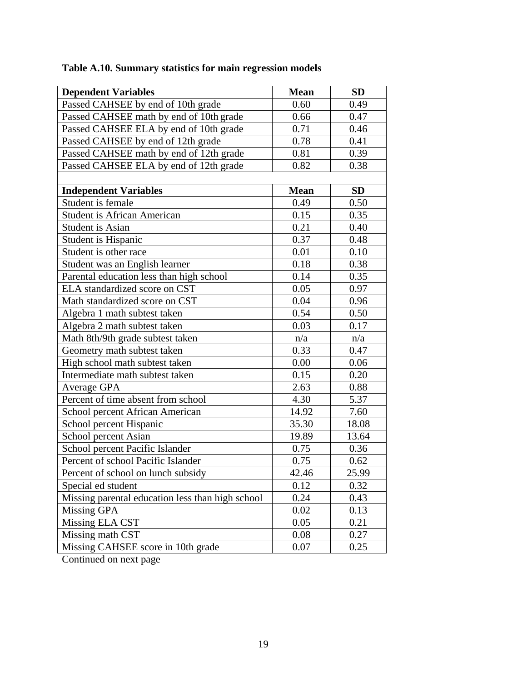| <b>Dependent Variables</b>                       | <b>Mean</b> | <b>SD</b> |
|--------------------------------------------------|-------------|-----------|
| Passed CAHSEE by end of 10th grade               | 0.60        | 0.49      |
| Passed CAHSEE math by end of 10th grade          | 0.66        | 0.47      |
| Passed CAHSEE ELA by end of 10th grade           | 0.71        | 0.46      |
| Passed CAHSEE by end of 12th grade               | 0.78        | 0.41      |
| Passed CAHSEE math by end of 12th grade          | 0.81        | 0.39      |
| Passed CAHSEE ELA by end of 12th grade           | 0.82        | 0.38      |
|                                                  |             |           |
| <b>Independent Variables</b>                     | <b>Mean</b> | <b>SD</b> |
| Student is female                                | 0.49        | 0.50      |
| <b>Student is African American</b>               | 0.15        | 0.35      |
| <b>Student is Asian</b>                          | 0.21        | 0.40      |
| Student is Hispanic                              | 0.37        | 0.48      |
| Student is other race                            | 0.01        | 0.10      |
| Student was an English learner                   | 0.18        | 0.38      |
| Parental education less than high school         | 0.14        | 0.35      |
| ELA standardized score on CST                    | 0.05        | 0.97      |
| Math standardized score on CST                   | 0.04        | 0.96      |
| Algebra 1 math subtest taken                     | 0.54        | 0.50      |
| Algebra 2 math subtest taken                     | 0.03        | 0.17      |
| Math 8th/9th grade subtest taken                 | n/a         | n/a       |
| Geometry math subtest taken                      | 0.33        | 0.47      |
| High school math subtest taken                   | 0.00        | 0.06      |
| Intermediate math subtest taken                  | 0.15        | 0.20      |
| Average GPA                                      | 2.63        | 0.88      |
| Percent of time absent from school               | 4.30        | 5.37      |
| School percent African American                  | 14.92       | 7.60      |
| School percent Hispanic                          | 35.30       | 18.08     |
| School percent Asian                             | 19.89       | 13.64     |
| School percent Pacific Islander                  | 0.75        | 0.36      |
| Percent of school Pacific Islander               | 0.75        | 0.62      |
| Percent of school on lunch subsidy               | 42.46       | 25.99     |
| Special ed student                               | 0.12        | 0.32      |
| Missing parental education less than high school | 0.24        | 0.43      |
| Missing GPA                                      | 0.02        | 0.13      |
| Missing ELA CST                                  | 0.05        | 0.21      |
| Missing math CST                                 | 0.08        | 0.27      |
| Missing CAHSEE score in 10th grade               | 0.07        | 0.25      |

# **Table A.10. Summary statistics for main regression models**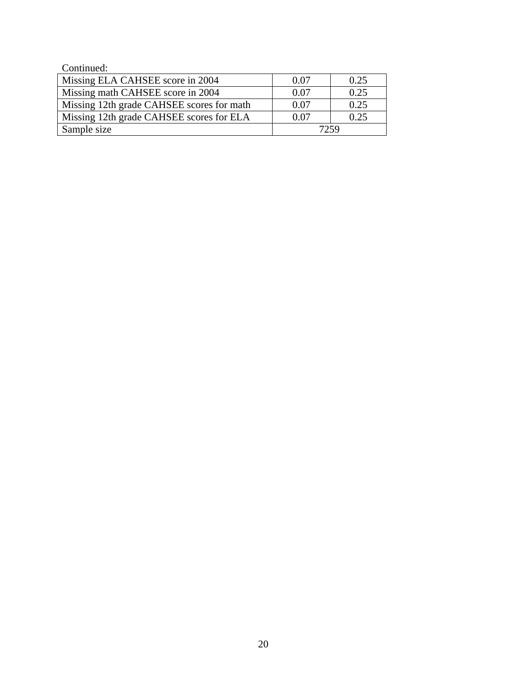| Continued:                                |      |      |
|-------------------------------------------|------|------|
| Missing ELA CAHSEE score in 2004          | 0.07 | 0.25 |
| Missing math CAHSEE score in 2004         | 0.07 | 0.25 |
| Missing 12th grade CAHSEE scores for math | 0.07 | 0.25 |
| Missing 12th grade CAHSEE scores for ELA  | 0 07 | 0.25 |
| Sample size                               | 7259 |      |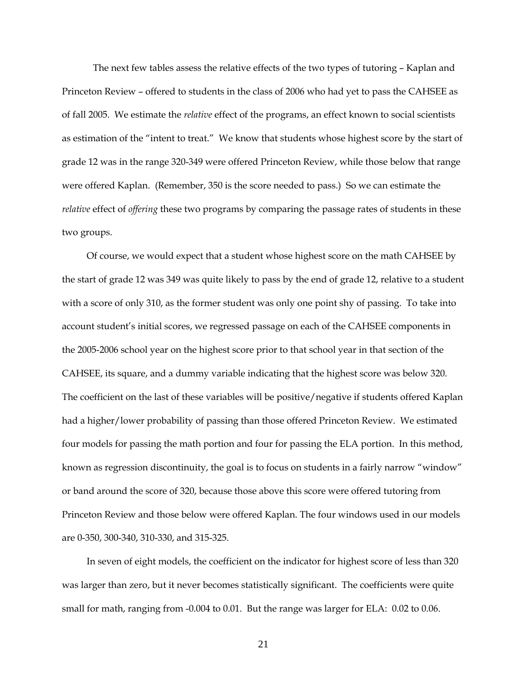The next few tables assess the relative effects of the two types of tutoring – Kaplan and Princeton Review – offered to students in the class of 2006 who had yet to pass the CAHSEE as of fall 2005. We estimate the *relative* effect of the programs, an effect known to social scientists as estimation of the "intent to treat." We know that students whose highest score by the start of grade 12 was in the range 320-349 were offered Princeton Review, while those below that range were offered Kaplan. (Remember, 350 is the score needed to pass.) So we can estimate the *relative* effect of *offering* these two programs by comparing the passage rates of students in these two groups.

Of course, we would expect that a student whose highest score on the math CAHSEE by the start of grade 12 was 349 was quite likely to pass by the end of grade 12, relative to a student with a score of only 310, as the former student was only one point shy of passing. To take into account student's initial scores, we regressed passage on each of the CAHSEE components in the 2005-2006 school year on the highest score prior to that school year in that section of the CAHSEE, its square, and a dummy variable indicating that the highest score was below 320. The coefficient on the last of these variables will be positive/negative if students offered Kaplan had a higher/lower probability of passing than those offered Princeton Review. We estimated four models for passing the math portion and four for passing the ELA portion. In this method, known as regression discontinuity, the goal is to focus on students in a fairly narrow "window" or band around the score of 320, because those above this score were offered tutoring from Princeton Review and those below were offered Kaplan. The four windows used in our models are 0-350, 300-340, 310-330, and 315-325.

In seven of eight models, the coefficient on the indicator for highest score of less than 320 was larger than zero, but it never becomes statistically significant. The coefficients were quite small for math, ranging from -0.004 to 0.01. But the range was larger for ELA: 0.02 to 0.06.

21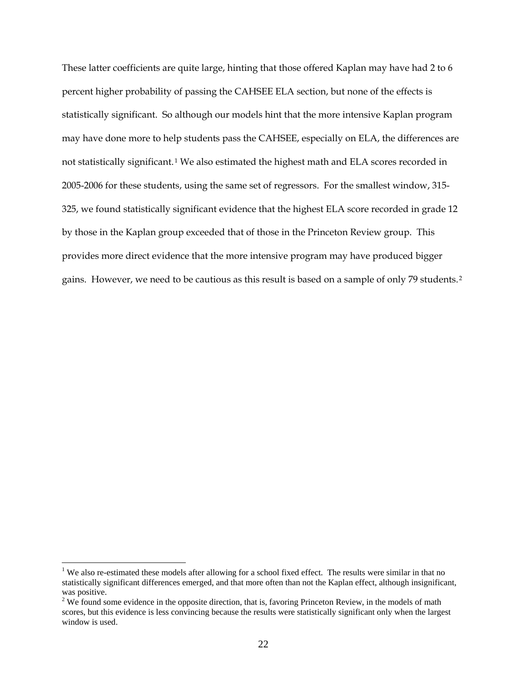These latter coefficients are quite large, hinting that those offered Kaplan may have had 2 to 6 percent higher probability of passing the CAHSEE ELA section, but none of the effects is statistically significant. So although our models hint that the more intensive Kaplan program may have done more to help students pass the CAHSEE, especially on ELA, the differences are not statistically significant.<sup>[1](#page-22-0)</sup> We also estimated the highest math and ELA scores recorded in 2005-2006 for these students, using the same set of regressors. For the smallest window, 315- 325, we found statistically significant evidence that the highest ELA score recorded in grade 12 by those in the Kaplan group exceeded that of those in the Princeton Review group. This provides more direct evidence that the more intensive program may have produced bigger gains. However, we need to be cautious as this result is based on a sample of only 79 students.<sup>1</sup> [2](#page-22-1)

 $\overline{a}$ 

<span id="page-22-0"></span><sup>&</sup>lt;sup>1</sup> We also re-estimated these models after allowing for a school fixed effect. The results were similar in that no statistically significant differences emerged, and that more often than not the Kaplan effect, although insignificant, was positive.

<span id="page-22-1"></span> $2$  We found some evidence in the opposite direction, that is, favoring Princeton Review, in the models of math scores, but this evidence is less convincing because the results were statistically significant only when the largest window is used.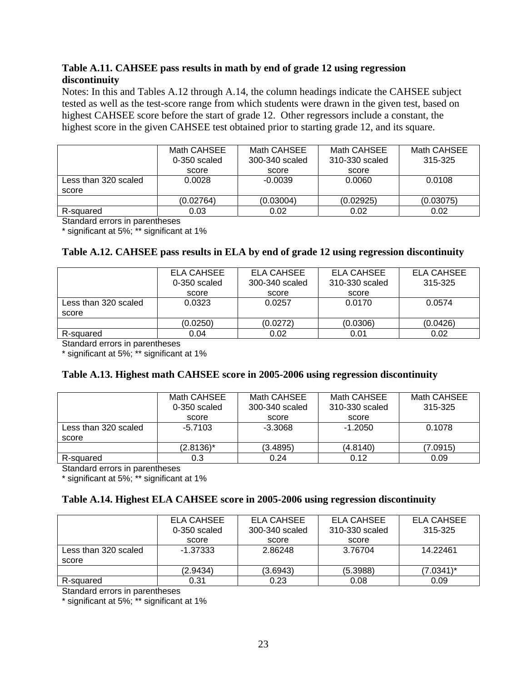#### **Table A.11. CAHSEE pass results in math by end of grade 12 using regression discontinuity**

Notes: In this and Tables A.12 through A.14, the column headings indicate the CAHSEE subject tested as well as the test-score range from which students were drawn in the given test, based on highest CAHSEE score before the start of grade 12. Other regressors include a constant, the highest score in the given CAHSEE test obtained prior to starting grade 12, and its square.

|                      | Math CAHSEE    | Math CAHSEE    | Math CAHSEE    | Math CAHSEE |
|----------------------|----------------|----------------|----------------|-------------|
|                      | $0-350$ scaled | 300-340 scaled | 310-330 scaled | 315-325     |
|                      | score          | score          | score          |             |
| Less than 320 scaled | 0.0028         | $-0.0039$      | 0.0060         | 0.0108      |
| score                |                |                |                |             |
|                      | (0.02764)      | (0.03004)      | (0.02925)      | (0.03075)   |
| R-squared            | 0.03           | 0.02           | 0.02           | 0.02        |

Standard errors in parentheses

\* significant at 5%; \*\* significant at 1%

#### **Table A.12. CAHSEE pass results in ELA by end of grade 12 using regression discontinuity**

|                      | ELA CAHSEE   | ELA CAHSEE     | ELA CAHSEE     | ELA CAHSEE |  |
|----------------------|--------------|----------------|----------------|------------|--|
|                      | 0-350 scaled | 300-340 scaled | 310-330 scaled | 315-325    |  |
|                      | score        | score          | score          |            |  |
| Less than 320 scaled | 0.0323       | 0.0257         | 0.0170         | 0.0574     |  |
| score                |              |                |                |            |  |
|                      | (0.0250)     | (0.0272)       | (0.0306)       | (0.0426)   |  |
| R-squared            | 0.04         | 0.02           | 0.01           | 0.02       |  |

Standard errors in parentheses

\* significant at 5%; \*\* significant at 1%

#### **Table A.13. Highest math CAHSEE score in 2005-2006 using regression discontinuity**

|                      | Math CAHSEE<br>$0-350$ scaled | Math CAHSEE<br>300-340 scaled | Math CAHSEE<br>310-330 scaled | Math CAHSEE<br>315-325 |
|----------------------|-------------------------------|-------------------------------|-------------------------------|------------------------|
|                      | score                         | score                         | score                         |                        |
| Less than 320 scaled | -5.7103                       | $-3.3068$                     | $-1.2050$                     | 0.1078                 |
| score                |                               |                               |                               |                        |
|                      | $(2.8136)^{*}$                | (3.4895)                      | (4.8140)                      | (7.0915)               |
| R-squared            | 0.3                           | 0.24                          | 0.12                          | 0.09                   |

Standard errors in parentheses

\* significant at 5%; \*\* significant at 1%

#### **Table A.14. Highest ELA CAHSEE score in 2005-2006 using regression discontinuity**

|                      | ELA CAHSEE     | ELA CAHSEE     | ELA CAHSEE     | ELA CAHSEE |
|----------------------|----------------|----------------|----------------|------------|
|                      | $0-350$ scaled | 300-340 scaled | 310-330 scaled | 315-325    |
|                      | score          | score          | score          |            |
| Less than 320 scaled | $-1.37333$     | 2.86248        | 3.76704        | 14.22461   |
| score                |                |                |                |            |
|                      | (2.9434)       | (3.6943)       | (5.3988)       | (7.0341)*  |
| R-squared            | 0.31           | 0.23           | 0.08           | 0.09       |

Standard errors in parentheses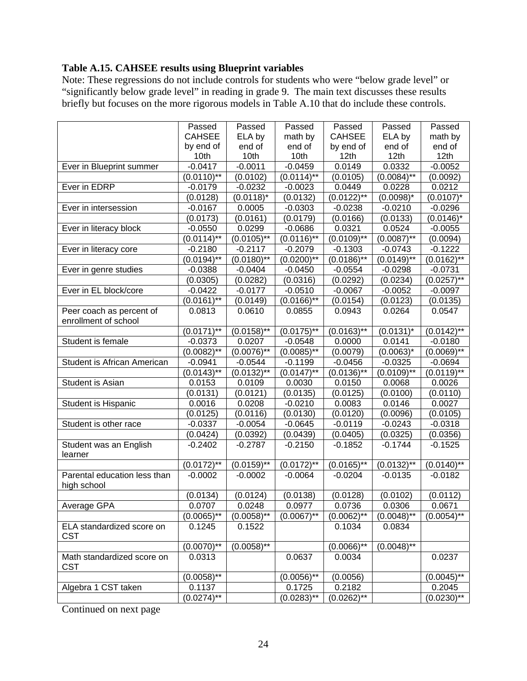#### **Table A.15. CAHSEE results using Blueprint variables**

Note: These regressions do not include controls for students who were "below grade level" or "significantly below grade level" in reading in grade 9. The main text discusses these results briefly but focuses on the more rigorous models in Table A.10 that do include these controls.

|                                          | Passed                     | Passed        | Passed                     | Passed           | Passed          | Passed          |
|------------------------------------------|----------------------------|---------------|----------------------------|------------------|-----------------|-----------------|
|                                          | <b>CAHSEE</b>              | ELA by        | math by                    | <b>CAHSEE</b>    | ELA by          | math by         |
|                                          | by end of                  | end of        | end of                     | by end of        | end of          | end of          |
|                                          | 10th                       | 10th          | 10th                       | 12 <sub>th</sub> | 12th            | 12th            |
| Ever in Blueprint summer                 | $-0.0417$                  | $-0.0011$     | $-0.0459$                  | 0.0149           | 0.0332          | $-0.0052$       |
|                                          | $(0.0110)$ **              | (0.0102)      | $(0.0114)$ **              | (0.0105)         | $(0.0084)$ **   | (0.0092)        |
| Ever in EDRP                             | $-0.0179$                  | $-0.0232$     | $-0.0023$                  | 0.0449           | 0.0228          | 0.0212          |
|                                          | (0.0128)                   | $(0.0118)^*$  | (0.0132)                   | $(0.0122)$ **    | $(0.0098)^*$    | $(0.0107)^*$    |
| Ever in intersession                     | $-0.0167$                  | 0.0005        | $-0.0303$                  | $-0.0238$        | $-0.0210$       | $-0.0296$       |
|                                          | (0.0173)                   | (0.0161)      | (0.0179)                   | (0.0166)         | (0.0133)        | $(0.0146)^*$    |
| Ever in literacy block                   | $-0.0550$                  | 0.0299        | $-0.0686$                  | 0.0321           | 0.0524          | $-0.0055$       |
|                                          | $(0.01\overline{14})^{**}$ | $(0.0105)$ ** | $(0.0116)$ **              | $(0.0109)$ **    | $(0.0087)$ **   | (0.0094)        |
| Ever in literacy core                    | $-0.2180$                  | $-0.2117$     | $-0.2079$                  | $-0.1303$        | $-0.0743$       | $-0.1222$       |
|                                          | $(0.0194)$ **              | $(0.0180)$ ** | $(0.0200)*$                | $(0.0186)$ **    | $(0.0149)^{**}$ | $(0.0162)$ **   |
| Ever in genre studies                    | $-0.0388$                  | $-0.0404$     | $-0.0450$                  | $-0.0554$        | $-0.0298$       | $-0.0731$       |
|                                          | (0.0305)                   | (0.0282)      | (0.0316)                   | (0.0292)         | (0.0234)        | $(0.0257)$ **   |
| Ever in EL block/core                    | $-0.0422$                  | $-0.0177$     | $-0.0510$                  | $-0.0067$        | $-0.0052$       | $-0.0097$       |
|                                          | $(0.0161)$ **              | (0.0149)      | $(0.01\overline{66})^{**}$ | (0.0154)         | (0.0123)        | (0.0135)        |
| Peer coach as percent of                 | 0.0813                     | 0.0610        | 0.0855                     | 0.0943           | 0.0264          | 0.0547          |
| enrollment of school                     |                            |               |                            |                  |                 |                 |
|                                          | $(0.0171)^{**}$            | $(0.0158)$ ** | $(0.0175)$ **              | $(0.0163)$ **    | $(0.0131)^*$    | $(0.0142)$ **   |
| Student is female                        | $-0.0373$                  | 0.0207        | $-0.0548$                  | 0.0000           | 0.0141          | $-0.0180$       |
|                                          | $(0.0082)$ **              | $(0.0076)$ ** | $(0.0085)$ **              | (0.0079)         | $(0.0063)^{*}$  | $(0.0069)$ **   |
| Student is African American              | $-0.0941$                  | $-0.0544$     | $-0.1199$                  | $-0.0456$        | $-0.0325$       | $-0.0694$       |
|                                          | $(0.01\overline{43})^{**}$ | $(0.0132)$ ** | $(0.0147)$ **              | $(0.0136)$ **    | $(0.0109)$ **   | $(0.0119)$ **   |
| Student is Asian                         | 0.0153                     | 0.0109        | 0.0030                     | 0.0150           | 0.0068          | 0.0026          |
|                                          | (0.0131)                   | (0.0121)      | (0.0135)                   | (0.0125)         | (0.0100)        | (0.0110)        |
| Student is Hispanic                      | 0.0016                     | 0.0208        | $-0.0210$                  | 0.0083           | 0.0146          | 0.0027          |
|                                          | (0.0125)                   | (0.0116)      | (0.0130)                   | (0.0120)         | (0.0096)        | (0.0105)        |
| Student is other race                    | $-0.0337$                  | $-0.0054$     | $-0.0645$                  | $-0.0119$        | $-0.0243$       | $-0.0318$       |
|                                          | (0.0424)                   | (0.0392)      | (0.0439)                   | (0.0405)         | (0.0325)        | (0.0356)        |
| Student was an English                   | $-0.2402$                  | $-0.2787$     | $-0.2150$                  | $-0.1852$        | $-0.1744$       | $-0.1525$       |
| learner                                  |                            |               |                            |                  |                 |                 |
|                                          | $(0.0172)$ **              | $(0.0159)$ ** | $(0.0172)$ **              | $(0.0165)$ **    | $(0.0132)$ **   | $(0.0140)$ **   |
| Parental education less than             | $-0.0002$                  | $-0.0002$     | $-0.0064$                  | $-0.0204$        | $-0.0135$       | $-0.0182$       |
| high school                              |                            |               |                            |                  |                 |                 |
|                                          | (0.0134)                   | (0.0124)      | (0.0138)                   | (0.0128)         | (0.0102)        | (0.0112)        |
| Average GPA                              | 0.0707                     | 0.0248        | 0.0977                     | 0.0736           | 0.0306          | 0.0671          |
|                                          | $(0.0065)$ **              | $(0.0058)$ ** | $(0.0067)$ **              | $(0.0062)$ **    | $(0.0048)$ **   | $(0.0054)^{**}$ |
| ELA standardized score on<br><b>CST</b>  | 0.1245                     | 0.1522        |                            | 0.1034           | 0.0834          |                 |
|                                          | $(0.0070)$ **              | $(0.0058)$ ** |                            | $(0.0066)$ **    | $(0.0048)^{**}$ |                 |
| Math standardized score on<br><b>CST</b> | 0.0313                     |               | 0.0637                     | 0.0034           |                 | 0.0237          |
|                                          | $(0.0058)$ **              |               | $(0.0056)$ **              | (0.0056)         |                 | $(0.0045)$ **   |
| Algebra 1 CST taken                      | 0.1137                     |               | 0.1725                     | 0.2182           |                 | 0.2045          |
|                                          | $(0.0274)$ **              |               | $(0.0283)$ **              | $(0.0262)$ **    |                 | $(0.0230)*$     |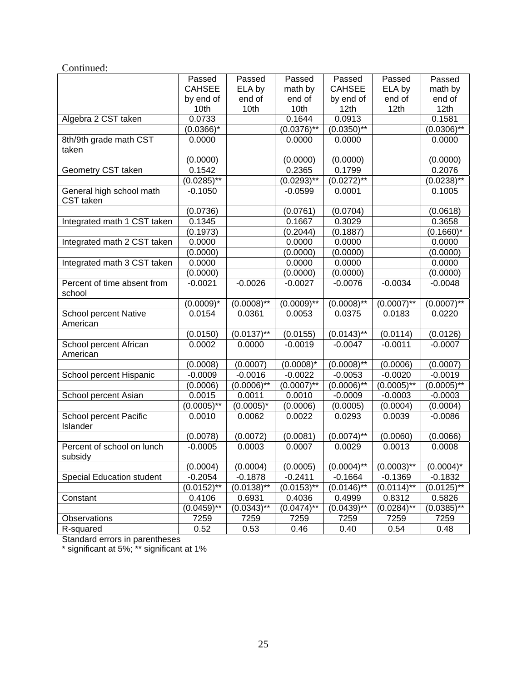| Continued:                       |               |                 |                 |                  |               |                  |
|----------------------------------|---------------|-----------------|-----------------|------------------|---------------|------------------|
|                                  | Passed        | Passed          | Passed          | Passed           | Passed        | Passed           |
|                                  | <b>CAHSEE</b> | ELA by          | math by         | <b>CAHSEE</b>    | ELA by        | math by          |
|                                  | by end of     | end of          | end of          | by end of        | end of        | end of           |
|                                  | 10th          | 10th            | 10th            | 12 <sub>th</sub> | 12th          | 12 <sub>th</sub> |
| Algebra 2 CST taken              | 0.0733        |                 | 0.1644          | 0.0913           |               | 0.1581           |
|                                  | $(0.0366)^*$  |                 | $(0.0376)$ **   | $(0.0350)$ **    |               | $(0.0306)$ **    |
| 8th/9th grade math CST           | 0.0000        |                 | 0.0000          | 0.0000           |               | 0.0000           |
| taken                            |               |                 |                 |                  |               |                  |
|                                  | (0.0000)      |                 | (0.0000)        | (0.0000)         |               | (0.0000)         |
| Geometry CST taken               | 0.1542        |                 | 0.2365          | 0.1799           |               | 0.2076           |
|                                  | $(0.0285)$ ** |                 | $(0.0293)^{**}$ | $(0.0272)^{1/4}$ |               | $(0.0238)$ **    |
| General high school math         | $-0.1050$     |                 | $-0.0599$       | 0.0001           |               | 0.1005           |
| CST taken                        |               |                 |                 |                  |               |                  |
|                                  | (0.0736)      |                 | (0.0761)        | (0.0704)         |               | (0.0618)         |
| Integrated math 1 CST taken      | 0.1345        |                 | 0.1667          | 0.3029           |               | 0.3658           |
|                                  | (0.1973)      |                 | (0.2044)        | (0.1887)         |               | $(0.1660)^*$     |
| Integrated math 2 CST taken      | 0.0000        |                 | 0.0000          | 0.0000           |               | 0.0000           |
|                                  | (0.0000)      |                 | (0.0000)        | (0.0000)         |               | (0.0000)         |
| Integrated math 3 CST taken      | 0.0000        |                 | 0.0000          | 0.0000           |               | 0.0000           |
|                                  | (0.0000)      |                 | (0.0000)        | (0.0000)         |               | (0.0000)         |
| Percent of time absent from      | $-0.0021$     | $-0.0026$       | $-0.0027$       | $-0.0076$        | $-0.0034$     | $-0.0048$        |
| school                           |               |                 |                 |                  |               |                  |
|                                  | $(0.0009)^*$  | $(0.0008)$ **   | $(0.0009)$ **   | $(0.0008)$ **    | $(0.0007)$ ** | $(0.0007)$ **    |
| School percent Native            | 0.0154        | 0.0361          | 0.0053          | 0.0375           | 0.0183        | 0.0220           |
| American                         |               |                 |                 |                  |               |                  |
|                                  | (0.0150)      | $(0.0137)$ **   | (0.0155)        | $(0.0143)$ **    | (0.0114)      | (0.0126)         |
| School percent African           | 0.0002        | 0.0000          | $-0.0019$       | $-0.0047$        | $-0.0011$     | $-0.0007$        |
| American                         |               |                 |                 |                  |               |                  |
|                                  | (0.0008)      | (0.0007)        | $(0.0008)^*$    | $(0.0008)^{**}$  | (0.0006)      | (0.0007)         |
| School percent Hispanic          | $-0.0009$     | $-0.0016$       | $-0.0022$       | $-0.0053$        | $-0.0020$     | $-0.0019$        |
|                                  | (0.0006)      | $(0.0006)^{**}$ | $(0.0007)$ **   | $(0.0006)$ **    | $(0.0005)$ ** | $(0.0005)$ **    |
| School percent Asian             | 0.0015        | 0.0011          | 0.0010          | $-0.0009$        | $-0.0003$     | $-0.0003$        |
|                                  | $(0.0005)$ ** | $(0.0005)^*$    | (0.0006)        | (0.0005)         | (0.0004)      | (0.0004)         |
| School percent Pacific           | 0.0010        | 0.0062          | 0.0022          | 0.0293           | 0.0039        | $-0.0086$        |
| Islander                         |               |                 |                 |                  |               |                  |
|                                  | (0.0078)      | (0.0072)        | (0.0081)        | $(0.0074)$ **    | (0.0060)      | (0.0066)         |
| Percent of school on lunch       | $-0.0005$     | 0.0003          | 0.0007          | 0.0029           | 0.0013        | 0.0008           |
| subsidy                          |               |                 |                 |                  |               |                  |
|                                  | (0.0004)      | (0.0004)        | (0.0005)        | $(0.0004)$ **    | $(0.0003)$ ** | $(0.0004)^*$     |
| <b>Special Education student</b> | $-0.2054$     | $-0.1878$       | $-0.2411$       | $-0.1664$        | $-0.1369$     | $-0.1832$        |
|                                  | $(0.0152)$ ** | $(0.0138)$ **   | $(0.0153)$ **   | $(0.0146)$ **    | $(0.0114)$ ** | $(0.0125)$ **    |
| Constant                         | 0.4106        | 0.6931          | 0.4036          | 0.4999           | 0.8312        | 0.5826           |
|                                  | $(0.0459)$ ** | $(0.0343)$ **   | $(0.0474)$ **   | $(0.0439)$ **    | $(0.0284)$ ** | $(0.0385)$ **    |
| <b>Observations</b>              | 7259          | 7259            | 7259            | 7259             | 7259          | 7259             |
| R-squared                        | 0.52          | 0.53            | 0.46            | 0.40             | 0.54          | 0.48             |

Standard errors in parentheses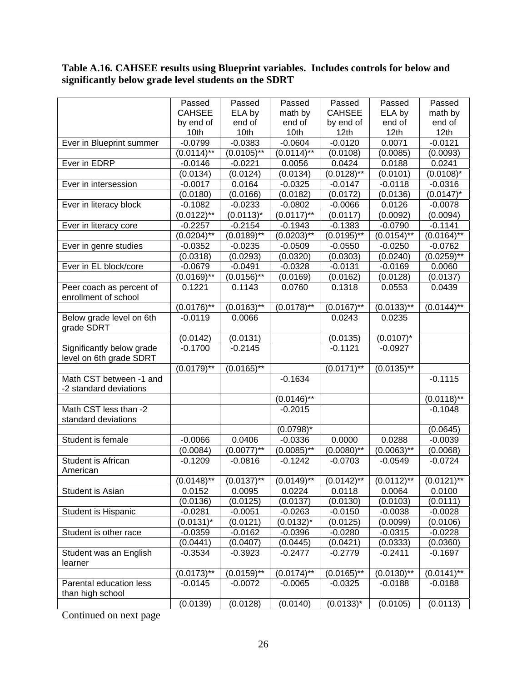#### **Table A.16. CAHSEE results using Blueprint variables. Includes controls for below and significantly below grade level students on the SDRT**

|                           | Passed                     | Passed        | Passed           | Passed        | Passed           | Passed                     |
|---------------------------|----------------------------|---------------|------------------|---------------|------------------|----------------------------|
|                           | <b>CAHSEE</b>              | ELA by        | math by          | <b>CAHSEE</b> | ELA by           | math by                    |
|                           | by end of                  | end of        | end of           | by end of     | end of           | end of                     |
|                           | 10th                       | 10th          | 10th             | 12th          | 12th             | 12 <sub>th</sub>           |
| Ever in Blueprint summer  | $-0.0799$                  | $-0.0383$     | $-0.0604$        | $-0.0120$     | 0.0071           | $-0.0121$                  |
|                           | $(0.0114)$ **              | $(0.0105)$ ** | $(0.0114)$ **    | (0.0108)      | (0.0085)         | (0.0093)                   |
| Ever in EDRP              | $-0.0146$                  | $-0.0221$     | 0.0056           | 0.0424        | 0.0188           | 0.0241                     |
|                           | (0.0134)                   | (0.0124)      | (0.0134)         | $(0.0128)$ ** | (0.0101)         | $(0.0108)^*$               |
| Ever in intersession      | $-0.0017$                  | 0.0164        | $-0.0325$        | $-0.0147$     | $-0.0118$        | $-0.0316$                  |
|                           | (0.0180)                   | (0.0166)      | (0.0182)         | (0.0172)      | (0.0136)         | $(0.0147)^*$               |
| Ever in literacy block    | $-0.1082$                  | $-0.0233$     | $-0.0802$        | $-0.0066$     | 0.0126           | $-0.0078$                  |
|                           | $(0.0122)$ **              | $(0.0113)^*$  | $(0.0117)$ **    | (0.0117)      | (0.0092)         | (0.0094)                   |
| Ever in literacy core     | $-0.2257$                  | $-0.2154$     | $-0.1943$        | $-0.1383$     | $-0.0790$        | $-0.1141$                  |
|                           | $(0.0204)$ **              | $(0.0189)$ ** | $(0.0203)^{1/8}$ | $(0.0195)$ ** | $(0.0154)^{**}$  | $(0.0164)^{1/4}$           |
| Ever in genre studies     | $-0.0352$                  | $-0.0235$     | $-0.0509$        | $-0.0550$     | $-0.0250$        | $-0.0762$                  |
|                           | (0.0318)                   | (0.0293)      | (0.0320)         | (0.0303)      | (0.0240)         | $(0.0259)$ **              |
| Ever in EL block/core     | $-0.0679$                  | $-0.0491$     | $-0.0328$        | $-0.0131$     | $-0.0169$        | 0.0060                     |
|                           | $(0.0169)$ **              | $(0.0156)$ ** | (0.0169)         | (0.0162)      | (0.0128)         | (0.0137)                   |
| Peer coach as percent of  | 0.1221                     | 0.1143        | 0.0760           | 0.1318        | 0.0553           | 0.0439                     |
| enrollment of school      |                            |               |                  |               |                  |                            |
|                           | $(0.0176)$ **              | $(0.0163)$ ** | $(0.0178)$ **    | $(0.0167)$ ** | $(0.0133)^{1/4}$ | $(0.01\overline{44})^{**}$ |
| Below grade level on 6th  | $-0.0119$                  | 0.0066        |                  | 0.0243        | 0.0235           |                            |
| grade SDRT                |                            |               |                  |               |                  |                            |
|                           | (0.0142)                   | (0.0131)      |                  | (0.0135)      | $(0.0107)^*$     |                            |
| Significantly below grade | $-0.1700$                  | $-0.2145$     |                  | $-0.1121$     | $-0.0927$        |                            |
| level on 6th grade SDRT   |                            |               |                  |               |                  |                            |
|                           | $(0.0179)$ **              | $(0.0165)$ ** |                  | $(0.0171)$ ** | $(0.0135)$ **    |                            |
| Math CST between -1 and   |                            |               | $-0.1634$        |               |                  | $-0.1115$                  |
| -2 standard deviations    |                            |               |                  |               |                  |                            |
|                           |                            |               | $(0.0146)$ **    |               |                  | $(0.0118)$ **              |
| Math CST less than -2     |                            |               | $-0.2015$        |               |                  | $-0.1048$                  |
| standard deviations       |                            |               |                  |               |                  |                            |
|                           |                            |               | $(0.0798)^*$     |               |                  | (0.0645)                   |
| Student is female         | $-0.0066$                  | 0.0406        | $-0.0336$        | 0.0000        | 0.0288           | $-0.0039$                  |
|                           | (0.0084)                   | $(0.0077)$ ** | $(0.0085)$ **    | $(0.0080)$ ** | $(0.0063)$ **    | (0.0068)                   |
| Student is African        | $-0.1209$                  | $-0.0816$     | $-0.1242$        | $-0.0703$     | $-0.0549$        | $-0.0724$                  |
| American                  |                            |               |                  |               |                  |                            |
|                           | $(0.01\overline{48})^{**}$ | $(0.0137)$ ** | $(0.0149)$ **    | $(0.0142)$ ** | $(0.0112)$ **    | $(0.0121)$ **              |
| Student is Asian          | 0.0152                     | 0.0095        | 0.0224           | 0.0118        | 0.0064           | 0.0100                     |
|                           | (0.0136)                   | (0.0125)      | (0.0137)         | (0.0130)      | (0.0103)         | (0.0111)                   |
| Student is Hispanic       | $-0.0281$                  | $-0.0051$     | $-0.0263$        | $-0.0150$     | $-0.0038$        | $-0.0028$                  |
|                           | $(0.0131)^*$               | (0.0121)      | $(0.0132)^{*}$   | (0.0125)      | (0.0099)         | (0.0106)                   |
| Student is other race     | $-0.0359$                  | $-0.0162$     | $-0.0396$        | $-0.0280$     | $-0.0315$        | $-0.0228$                  |
|                           | (0.0441)                   | (0.0407)      | (0.0445)         | (0.0421)      | (0.0333)         | (0.0360)                   |
| Student was an English    | $-0.3534$                  | $-0.3923$     | $-0.2477$        | $-0.2779$     | $-0.2411$        | $-0.1697$                  |
| learner                   |                            |               |                  |               |                  |                            |
|                           | $(0.0173)$ **              | $(0.0159)$ ** | $(0.0174)$ **    | $(0.0165)$ ** | $(0.0130)$ **    | $(0.0141)$ **              |
| Parental education less   | $-0.0145$                  | $-0.0072$     | $-0.0065$        | $-0.0325$     | $-0.0188$        | $-0.0188$                  |
| than high school          |                            |               |                  |               |                  |                            |
|                           | (0.0139)                   | (0.0128)      | (0.0140)         | $(0.0133)^*$  | (0.0105)         | (0.0113)                   |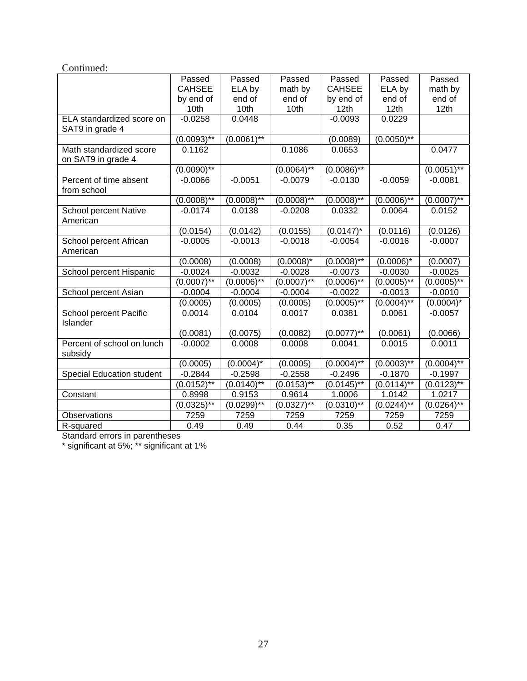| Continued:                   |               |                            |                            |                  |                 |                 |
|------------------------------|---------------|----------------------------|----------------------------|------------------|-----------------|-----------------|
|                              | Passed        | Passed                     | Passed                     | Passed           | Passed          | Passed          |
|                              | <b>CAHSEE</b> | ELA by                     | math by                    | <b>CAHSEE</b>    | ELA by          | math by         |
|                              | by end of     | end of                     | end of                     | by end of        | end of          | end of          |
|                              | 10th          | 10th                       | 10th                       | 12 <sub>th</sub> | 12th            | 12th            |
| ELA standardized score on    | $-0.0258$     | 0.0448                     |                            | $-0.0093$        | 0.0229          |                 |
| SAT9 in grade 4              |               |                            |                            |                  |                 |                 |
|                              | $(0.0093)$ ** | $(0.0061)$ **              |                            | (0.0089)         | $(0.0050)$ **   |                 |
| Math standardized score      | 0.1162        |                            | 0.1086                     | 0.0653           |                 | 0.0477          |
| on SAT9 in grade 4           |               |                            |                            |                  |                 |                 |
|                              | $(0.0090)$ ** |                            | $(0.0064)$ **              | $(0.0086)$ **    |                 | $(0.0051)$ **   |
| Percent of time absent       | $-0.0066$     | $-0.0051$                  | $-0.0079$                  | $-0.0130$        | $-0.0059$       | $-0.0081$       |
| from school                  |               |                            |                            |                  |                 |                 |
|                              | $(0.0008)$ ** | $(0.0008)$ **              | $(0.0008)$ **              | $(0.0008)$ **    | $(0.0006)$ **   | $(0.0007)$ **   |
| <b>School percent Native</b> | $-0.0174$     | 0.0138                     | $-0.0208$                  | 0.0332           | 0.0064          | 0.0152          |
| American                     |               |                            |                            |                  |                 |                 |
|                              | (0.0154)      | (0.0142)                   | (0.0155)                   | $(0.0147)^*$     | (0.0116)        | (0.0126)        |
| School percent African       | $-0.0005$     | $-0.0013$                  | $-0.0018$                  | $-0.0054$        | $-0.0016$       | $-0.0007$       |
| American                     |               |                            |                            |                  |                 |                 |
|                              | (0.0008)      | (0.0008)                   | $(0.0008)^*$               | $(0.0008)$ **    | $(0.0006)^*$    | (0.0007)        |
| School percent Hispanic      | $-0.0024$     | $-0.0032$                  | $-0.0028$                  | $-0.0073$        | $-0.0030$       | $-0.0025$       |
|                              | $(0.0007)*$   | $(0.0006)$ **              | $(0.0007)$ **              | $(0.0006)$ **    | $(0.0005)$ **   | $(0.0005)^{**}$ |
| School percent Asian         | $-0.0004$     | $-0.0004$                  | $-0.0004$                  | $-0.0022$        | $-0.0013$       | $-0.0010$       |
|                              | (0.0005)      | (0.0005)                   | (0.0005)                   | $(0.0005)$ **    | $(0.0004)^{**}$ | $(0.0004)^*$    |
| School percent Pacific       | 0.0014        | 0.0104                     | 0.0017                     | 0.0381           | 0.0061          | $-0.0057$       |
| Islander                     |               |                            |                            |                  |                 |                 |
|                              | (0.0081)      | (0.0075)                   | (0.0082)                   | $(0.0077)$ **    | (0.0061)        | (0.0066)        |
| Percent of school on lunch   | $-0.0002$     | 0.0008                     | 0.0008                     | 0.0041           | 0.0015          | 0.0011          |
| subsidy                      |               |                            |                            |                  |                 |                 |
|                              | (0.0005)      | $(0.0004)^*$               | (0.0005)                   | $(0.0004)$ **    | $(0.0003)$ **   | $(0.0004)$ **   |
| Special Education student    | $-0.2844$     | $-0.2598$                  | $-0.2558$                  | $-0.2496$        | $-0.1870$       | $-0.1997$       |
|                              | $(0.0152)$ ** | $(0.0140)$ **              | $(0.0153)$ **              | $(0.0145)$ **    | $(0.0114)$ **   | $(0.0123)$ **   |
| Constant                     | 0.8998        | 0.9153                     | 0.9614                     | 1.0006           | 1.0142          | 1.0217          |
|                              | $(0.0325)$ ** | $(0.02\overline{99})^{**}$ | $(0.03\overline{27})^{**}$ | $(0.0310)$ **    | $(0.0244)^{**}$ | $(0.0264)^{**}$ |
| Observations                 | 7259          | 7259                       | 7259                       | 7259             | 7259            | 7259            |
| R-squared                    | 0.49          | 0.49                       | 0.44                       | 0.35             | 0.52            | 0.47            |

Standard errors in parentheses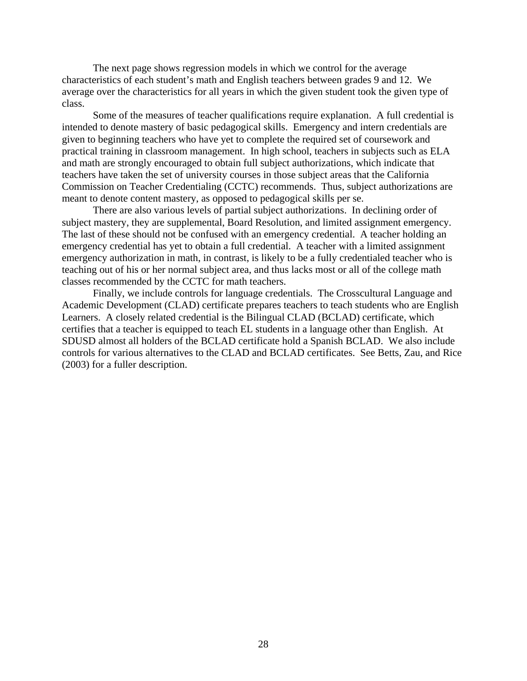The next page shows regression models in which we control for the average characteristics of each student's math and English teachers between grades 9 and 12. We average over the characteristics for all years in which the given student took the given type of class.

Some of the measures of teacher qualifications require explanation. A full credential is intended to denote mastery of basic pedagogical skills. Emergency and intern credentials are given to beginning teachers who have yet to complete the required set of coursework and practical training in classroom management. In high school, teachers in subjects such as ELA and math are strongly encouraged to obtain full subject authorizations, which indicate that teachers have taken the set of university courses in those subject areas that the California Commission on Teacher Credentialing (CCTC) recommends. Thus, subject authorizations are meant to denote content mastery, as opposed to pedagogical skills per se.

There are also various levels of partial subject authorizations. In declining order of subject mastery, they are supplemental, Board Resolution, and limited assignment emergency. The last of these should not be confused with an emergency credential. A teacher holding an emergency credential has yet to obtain a full credential. A teacher with a limited assignment emergency authorization in math, in contrast, is likely to be a fully credentialed teacher who is teaching out of his or her normal subject area, and thus lacks most or all of the college math classes recommended by the CCTC for math teachers.

Finally, we include controls for language credentials. The Crosscultural Language and Academic Development (CLAD) certificate prepares teachers to teach students who are English Learners. A closely related credential is the Bilingual CLAD (BCLAD) certificate, which certifies that a teacher is equipped to teach EL students in a language other than English. At SDUSD almost all holders of the BCLAD certificate hold a Spanish BCLAD. We also include controls for various alternatives to the CLAD and BCLAD certificates. See Betts, Zau, and Rice (2003) for a fuller description.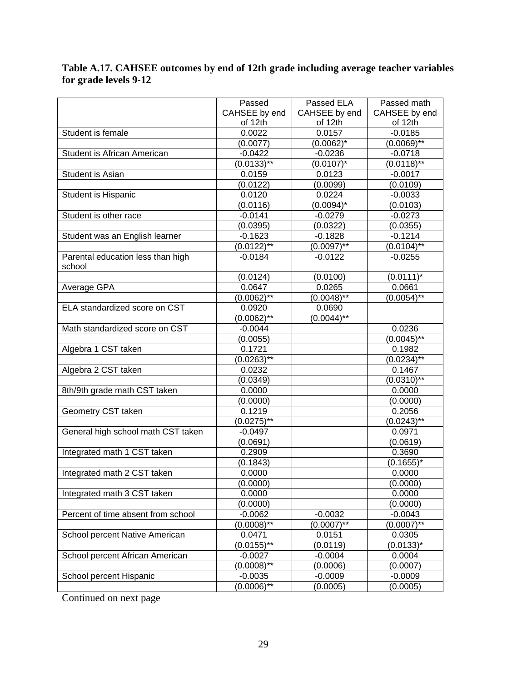#### **Table A.17. CAHSEE outcomes by end of 12th grade including average teacher variables for grade levels 9-12**

|                                    | Passed        | Passed ELA               | Passed math     |
|------------------------------------|---------------|--------------------------|-----------------|
|                                    | CAHSEE by end | CAHSEE by end            | CAHSEE by end   |
|                                    | of 12th       | of 12th                  | of 12th         |
| Student is female                  | 0.0022        | 0.0157                   | $-0.0185$       |
|                                    | (0.0077)      | $(0.0062)^{*}$           | $(0.0069)^{**}$ |
| Student is African American        | $-0.0422$     | $-0.0236$                | $-0.0718$       |
|                                    | $(0.0133)$ ** | $(0.0107)^*$             | $(0.0118)$ **   |
| Student is Asian                   | 0.0159        | 0.0123                   | $-0.0017$       |
|                                    | (0.0122)      | (0.0099)                 | (0.0109)        |
| Student is Hispanic                | 0.0120        | 0.0224                   | $-0.0033$       |
|                                    | (0.0116)      | $(0.0094)^*$             | (0.0103)        |
| Student is other race              | $-0.0141$     | $-0.0279$                | $-0.0273$       |
|                                    | (0.0395)      | (0.0322)                 | (0.0355)        |
| Student was an English learner     | $-0.1623$     | $-0.1828$                | $-0.1214$       |
|                                    | $(0.0122)$ ** | $(0.0097)$ **            | $(0.0104)$ **   |
| Parental education less than high  | $-0.0184$     | $-0.0122$                | $-0.0255$       |
| school                             |               |                          |                 |
|                                    | (0.0124)      | (0.0100)                 | $(0.0111)^*$    |
| Average GPA                        | 0.0647        | 0.0265                   | 0.0661          |
|                                    | $(0.0062)$ ** | $(0.0048)$ <sup>**</sup> | $(0.0054)$ **   |
| ELA standardized score on CST      | 0.0920        | 0.0690                   |                 |
|                                    | $(0.0062)$ ** | $(0.0044)$ **            |                 |
| Math standardized score on CST     | $-0.0044$     |                          | 0.0236          |
|                                    | (0.0055)      |                          | $(0.0045)$ **   |
| Algebra 1 CST taken                | 0.1721        |                          | 0.1982          |
|                                    | $(0.0263)$ ** |                          | $(0.0234)^{**}$ |
| Algebra 2 CST taken                | 0.0232        |                          | 0.1467          |
|                                    | (0.0349)      |                          | $(0.0310)$ **   |
| 8th/9th grade math CST taken       | 0.0000        |                          | 0.0000          |
|                                    | (0.0000)      |                          | (0.0000)        |
| Geometry CST taken                 | 0.1219        |                          | 0.2056          |
|                                    | $(0.0275)$ ** |                          | $(0.0243)$ **   |
| General high school math CST taken | $-0.0497$     |                          | 0.0971          |
|                                    | (0.0691)      |                          | (0.0619)        |
| Integrated math 1 CST taken        | 0.2909        |                          | 0.3690          |
|                                    | (0.1843)      |                          | $(0.1655)^*$    |
| Integrated math 2 CST taken        | 0.0000        |                          | 0.0000          |
|                                    | (0.0000)      |                          | (0.0000)        |
| Integrated math 3 CST taken        | 0.0000        |                          | 0.0000          |
|                                    | (0.0000)      |                          | (0.0000)        |
| Percent of time absent from school | $-0.0062$     | $-0.0032$                | $-0.0043$       |
|                                    | $(0.0008)$ ** | $(0.0007)$ **            | $(0.0007)*$     |
| School percent Native American     | 0.0471        | 0.0151                   | 0.0305          |
|                                    | $(0.0155)$ ** | (0.0119)                 | $(0.0133)^{*}$  |
| School percent African American    | $-0.0027$     | $-0.0004$                | 0.0004          |
|                                    | $(0.0008)$ ** | (0.0006)                 | (0.0007)        |
| School percent Hispanic            | $-0.0035$     | $-0.0009$                | $-0.0009$       |
|                                    | $(0.0006)$ ** | (0.0005)                 | (0.0005)        |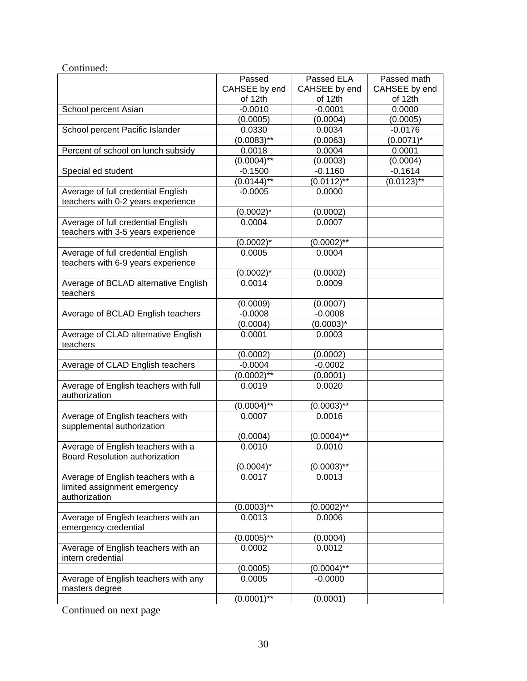#### Continued:

|                                                                      | Passed         | Passed ELA    | Passed math   |
|----------------------------------------------------------------------|----------------|---------------|---------------|
|                                                                      | CAHSEE by end  | CAHSEE by end | CAHSEE by end |
|                                                                      | of 12th        | of 12th       | of 12th       |
| School percent Asian                                                 | $-0.0010$      | $-0.0001$     | 0.0000        |
|                                                                      | (0.0005)       | (0.0004)      | (0.0005)      |
| School percent Pacific Islander                                      | 0.0330         | 0.0034        | $-0.0176$     |
|                                                                      | $(0.0083)$ **  | (0.0063)      | $(0.0071)^*$  |
| Percent of school on lunch subsidy                                   | 0.0018         | 0.0004        | 0.0001        |
|                                                                      | $(0.0004)$ **  | (0.0003)      | (0.0004)      |
| Special ed student                                                   | $-0.1500$      | $-0.1160$     | $-0.1614$     |
|                                                                      | $(0.0144)$ **  | $(0.0112)$ ** | $(0.0123)$ ** |
| Average of full credential English                                   | $-0.0005$      | 0.0000        |               |
| teachers with 0-2 years experience                                   |                |               |               |
|                                                                      | $(0.0002)^*$   | (0.0002)      |               |
| Average of full credential English                                   | 0.0004         | 0.0007        |               |
| teachers with 3-5 years experience                                   |                |               |               |
|                                                                      | $(0.0002)^{*}$ | $(0.0002)$ ** |               |
| Average of full credential English                                   | 0.0005         | 0.0004        |               |
| teachers with 6-9 years experience                                   |                |               |               |
|                                                                      | $(0.0002)^*$   | (0.0002)      |               |
| Average of BCLAD alternative English                                 | 0.0014         | 0.0009        |               |
| teachers                                                             |                |               |               |
|                                                                      | (0.0009)       | (0.0007)      |               |
| Average of BCLAD English teachers                                    | $-0.0008$      | $-0.0008$     |               |
|                                                                      | (0.0004)       | $(0.0003)^*$  |               |
| Average of CLAD alternative English<br>teachers                      | 0.0001         | 0.0003        |               |
|                                                                      | (0.0002)       | (0.0002)      |               |
| Average of CLAD English teachers                                     | $-0.0004$      | $-0.0002$     |               |
|                                                                      | $(0.0002)$ **  | (0.0001)      |               |
| Average of English teachers with full<br>authorization               | 0.0019         | 0.0020        |               |
|                                                                      | $(0.0004)$ **  | $(0.0003)$ ** |               |
| Average of English teachers with<br>supplemental authorization       | 0.0007         | 0.0016        |               |
|                                                                      | (0.0004)       | $(0.0004)$ ** |               |
| Average of English teachers with a<br>Board Resolution authorization | 0.0010         | 0.0010        |               |
|                                                                      | $(0.0004)^*$   | $(0.0003)$ ** |               |
| Average of English teachers with a                                   | 0.0017         | 0.0013        |               |
| limited assignment emergency<br>authorization                        |                |               |               |
|                                                                      | $(0.0003)*$    | $(0.0002)$ ** |               |
| Average of English teachers with an<br>emergency credential          | 0.0013         | 0.0006        |               |
|                                                                      | $(0.0005)$ **  | (0.0004)      |               |
| Average of English teachers with an<br>intern credential             | 0.0002         | 0.0012        |               |
|                                                                      | (0.0005)       | $(0.0004)$ ** |               |
| Average of English teachers with any<br>masters degree               | 0.0005         | $-0.0000$     |               |
|                                                                      | $(0.0001)$ **  | (0.0001)      |               |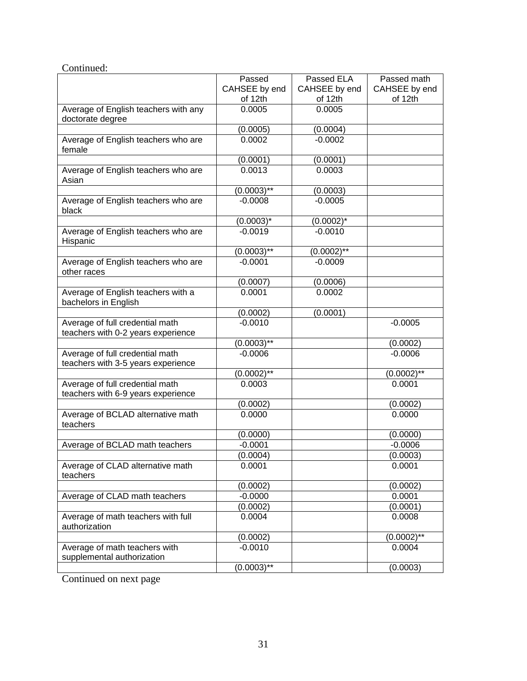| Continued:                                                            |               |               |               |
|-----------------------------------------------------------------------|---------------|---------------|---------------|
|                                                                       | Passed        | Passed ELA    | Passed math   |
|                                                                       | CAHSEE by end | CAHSEE by end | CAHSEE by end |
|                                                                       | of 12th       | of 12th       | of 12th       |
| Average of English teachers with any                                  | 0.0005        | 0.0005        |               |
| doctorate degree                                                      |               |               |               |
|                                                                       | (0.0005)      | (0.0004)      |               |
| Average of English teachers who are<br>female                         | 0.0002        | $-0.0002$     |               |
|                                                                       | (0.0001)      | (0.0001)      |               |
| Average of English teachers who are<br>Asian                          | 0.0013        | 0.0003        |               |
|                                                                       | $(0.0003)$ ** | (0.0003)      |               |
| Average of English teachers who are<br>black                          | $-0.0008$     | $-0.0005$     |               |
|                                                                       | $(0.0003)^*$  | $(0.0002)^*$  |               |
| Average of English teachers who are<br>Hispanic                       | $-0.0019$     | $-0.0010$     |               |
|                                                                       | $(0.0003)$ ** | $(0.0002)$ ** |               |
| Average of English teachers who are<br>other races                    | $-0.0001$     | $-0.0009$     |               |
|                                                                       | (0.0007)      | (0.0006)      |               |
| Average of English teachers with a<br>bachelors in English            | 0.0001        | 0.0002        |               |
|                                                                       | (0.0002)      | (0.0001)      |               |
| Average of full credential math<br>teachers with 0-2 years experience | $-0.0010$     |               | $-0.0005$     |
|                                                                       | $(0.0003)$ ** |               | (0.0002)      |
| Average of full credential math                                       | $-0.0006$     |               | $-0.0006$     |
| teachers with 3-5 years experience                                    |               |               |               |
|                                                                       | $(0.0002)$ ** |               | $(0.0002)$ ** |
| Average of full credential math<br>teachers with 6-9 years experience | 0.0003        |               | 0.0001        |
|                                                                       | (0.0002)      |               | (0.0002)      |
| Average of BCLAD alternative math<br>teachers                         | 0.0000        |               | 0.0000        |
|                                                                       | (0.0000)      |               | (0.0000)      |
| Average of BCLAD math teachers                                        | $-0.0001$     |               | $-0.0006$     |
|                                                                       | (0.0004)      |               | (0.0003)      |
| Average of CLAD alternative math<br>teachers                          | 0.0001        |               | 0.0001        |
|                                                                       | (0.0002)      |               | (0.0002)      |
| Average of CLAD math teachers                                         | $-0.0000$     |               | 0.0001        |
|                                                                       | (0.0002)      |               | (0.0001)      |
| Average of math teachers with full<br>authorization                   | 0.0004        |               | 0.0008        |
|                                                                       | (0.0002)      |               | $(0.0002)$ ** |
| Average of math teachers with<br>supplemental authorization           | $-0.0010$     |               | 0.0004        |
|                                                                       | $(0.0003)$ ** |               | (0.0003)      |